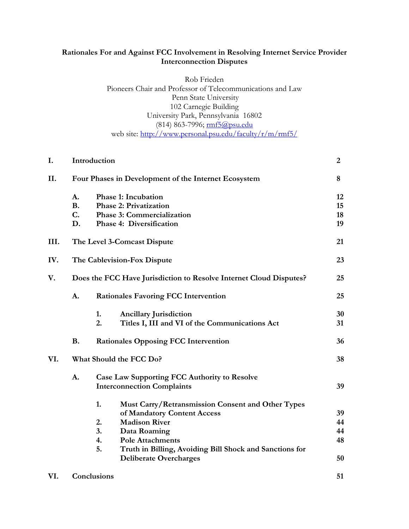# **Rationales For and Against FCC Involvement in Resolving Internet Service Provider Interconnection Disputes**

Rob Frieden Pioneers Chair and Professor of Telecommunications and Law Penn State University 102 Carnegie Building University Park, Pennsylvania 16802 (814) 863-7996; mf5@psu.edu web site:<http://www.personal.psu.edu/faculty/r/m/rmf5/>

| I.   |                                                                    | Introduction                                                                                                                        | $\boldsymbol{2}$     |
|------|--------------------------------------------------------------------|-------------------------------------------------------------------------------------------------------------------------------------|----------------------|
| II.  | Four Phases in Development of the Internet Ecosystem               |                                                                                                                                     | 8                    |
|      | A.<br><b>B.</b><br>C.<br>D.                                        | <b>Phase 1: Incubation</b><br><b>Phase 2: Privatization</b><br><b>Phase 3: Commercialization</b><br><b>Phase 4: Diversification</b> | 12<br>15<br>18<br>19 |
| III. |                                                                    | The Level 3-Comcast Dispute<br>21                                                                                                   |                      |
| IV.  |                                                                    | The Cablevision-Fox Dispute                                                                                                         |                      |
| V.   | Does the FCC Have Jurisdiction to Resolve Internet Cloud Disputes? |                                                                                                                                     | 25                   |
|      | A.                                                                 | <b>Rationales Favoring FCC Intervention</b>                                                                                         | 25                   |
|      |                                                                    | 1.<br><b>Ancillary Jurisdiction</b><br>2.<br>Titles I, III and VI of the Communications Act                                         | 30<br>31             |
|      | <b>B.</b>                                                          | <b>Rationales Opposing FCC Intervention</b>                                                                                         | 36                   |
| VI.  | What Should the FCC Do?                                            |                                                                                                                                     | 38                   |
|      | A.                                                                 | <b>Case Law Supporting FCC Authority to Resolve</b><br><b>Interconnection Complaints</b>                                            | 39                   |
|      |                                                                    | 1.<br>Must Carry/Retransmission Consent and Other Types<br>of Mandatory Content Access                                              | 39                   |
|      |                                                                    | <b>Madison River</b><br>2.                                                                                                          | 44                   |
|      |                                                                    | Data Roaming<br>3.                                                                                                                  | 44                   |
|      |                                                                    | 4.<br><b>Pole Attachments</b>                                                                                                       | 48                   |
|      |                                                                    | 5.<br>Truth in Billing, Avoiding Bill Shock and Sanctions for<br><b>Deliberate Overcharges</b>                                      | 50                   |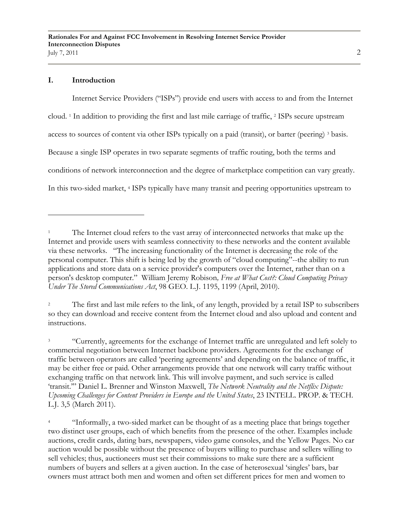### **I. Introduction**

Internet Service Providers ("ISPs") provide end users with access to and from the Internet cloud. <sup>1</sup> In addition to providing the first and last mile carriage of traffic, <sup>2</sup> ISPs secure upstream access to sources of content via other ISPs typically on a paid (transit), or barter (peering) <sup>3</sup> basis. Because a single ISP operates in two separate segments of traffic routing, both the terms and conditions of network interconnection and the degree of marketplace competition can vary greatly. In this two-sided market, <sup>4</sup> ISPs typically have many transit and peering opportunities upstream to

<sup>2</sup> The first and last mile refers to the link, of any length, provided by a retail ISP to subscribers so they can download and receive content from the Internet cloud and also upload and content and instructions.

<sup>3</sup> "Currently, agreements for the exchange of Internet traffic are unregulated and left solely to commercial negotiation between Internet backbone providers. Agreements for the exchange of traffic between operators are called "peering agreements" and depending on the balance of traffic, it may be either free or paid. Other arrangements provide that one network will carry traffic without exchanging traffic on that network link. This will involve payment, and such service is called "transit."" Daniel L. Brenner and Winston Maxwell, *The Network Neutrality and the Netflix Dispute: Upcoming Challenges for Content Providers in Europe and the United States*, 23 INTELL. PROP. & TECH. L.J. 3,5 (March 2011).

<sup>4</sup> "Informally, a two-sided market can be thought of as a meeting place that brings together two distinct user groups, each of which benefits from the presence of the other. Examples include auctions, credit cards, dating bars, newspapers, video game consoles, and the Yellow Pages. No car auction would be possible without the presence of buyers willing to purchase and sellers willing to sell vehicles; thus, auctioneers must set their commissions to make sure there are a sufficient numbers of buyers and sellers at a given auction. In the case of heterosexual "singles" bars, bar owners must attract both men and women and often set different prices for men and women to

<sup>1</sup> The Internet cloud refers to the vast array of interconnected networks that make up the Internet and provide users with seamless connectivity to these networks and the content available via these networks. "The increasing functionality of the Internet is decreasing the role of the personal computer. This shift is being led by the growth of "cloud computing"--the ability to run applications and store data on a service provider's computers over the Internet, rather than on a person's desktop computer." William Jeremy Robison*, Free at What Cost?: Cloud Computing Privacy Under The Stored Communications Act*, 98 GEO. L.J. 1195, 1199 (April, 2010).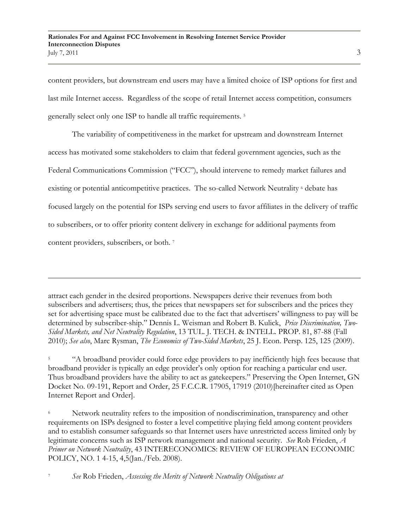content providers, but downstream end users may have a limited choice of ISP options for first and last mile Internet access. Regardless of the scope of retail Internet access competition, consumers generally select only one ISP to handle all traffic requirements. <sup>5</sup>

The variability of competitiveness in the market for upstream and downstream Internet access has motivated some stakeholders to claim that federal government agencies, such as the Federal Communications Commission ("FCC"), should intervene to remedy market failures and existing or potential anticompetitive practices. The so-called Network Neutrality  $\epsilon$  debate has focused largely on the potential for ISPs serving end users to favor affiliates in the delivery of traffic to subscribers, or to offer priority content delivery in exchange for additional payments from content providers, subscribers, or both. 7

attract each gender in the desired proportions. Newspapers derive their revenues from both subscribers and advertisers; thus, the prices that newspapers set for subscribers and the prices they set for advertising space must be calibrated due to the fact that advertisers" willingness to pay will be determined by subscriber-ship." Dennis L. Weisman and Robert B. Kulick, *Price Discrimination, Two-Sided Markets, and Net Neutrality Regulation*, 13 TUL. J. TECH. & INTELL. PROP. 81, 87-88 (Fall 2010); *See also*, Marc Rysman, *The Economics of Two-Sided Markets*, 25 J. Econ. Persp. 125, 125 (2009).

<sup>5</sup> "A broadband provider could force edge providers to pay inefficiently high fees because that broadband provider is typically an edge provider"s only option for reaching a particular end user. Thus broadband providers have the ability to act as gatekeepers." Preserving the Open Internet, GN Docket No. 09-191, Report and Order, 25 F.C.C.R. 17905, 17919 (2010)[hereinafter cited as Open Internet Report and Order].

Network neutrality refers to the imposition of nondiscrimination, transparency and other requirements on ISPs designed to foster a level competitive playing field among content providers and to establish consumer safeguards so that Internet users have unrestricted access limited only by legitimate concerns such as ISP network management and national security. *See* Rob Frieden, *A Primer on Network Neutrality*, 43 INTERECONOMICS: REVIEW OF EUROPEAN ECONOMIC POLICY, NO. 1 4-15, 4,5(Jan./Feb. 2008).

<sup>7</sup> *See* Rob Frieden, *Assessing the Merits of Network Neutrality Obligations at*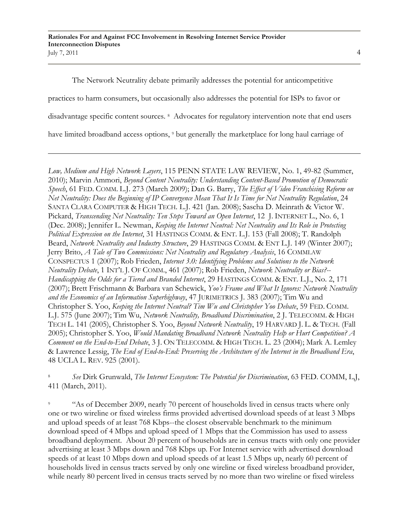The Network Neutrality debate primarily addresses the potential for anticompetitive practices to harm consumers, but occasionally also addresses the potential for ISPs to favor or disadvantage specific content sources. <sup>8</sup> Advocates for regulatory intervention note that end users have limited broadband access options, <sup>9</sup> but generally the marketplace for long haul carriage of

*Low, Medium and High Network Layers*, 115 PENN STATE LAW REVIEW, No. 1, 49-82 (Summer, 2010); Marvin Ammori, *Beyond Content Neutrality: Understanding Content-Based Promotion of Democratic Speech*, 61 FED. COMM. L.J. 273 (March 2009); Dan G. Barry, *The Effect of Video Franchising Reform on Net Neutrality: Does the Beginning of IP Convergence Mean That It Is Time for Net Neutrality Regulation*, 24 SANTA CLARA COMPUTER & HIGH TECH. L.J. 421 (Jan. 2008); Sascha D. Meinrath & Victor W. Pickard, *Transcending Net Neutrality: Ten Steps Toward an Open Internet*, 12 J. INTERNET L., No. 6, 1 (Dec. 2008); Jennifer L. Newman, *Keeping the Internet Neutral: Net Neutrality and Its Role in Protecting Political Expression on the Internet*, 31 HASTINGS COMM. & ENT. L.J. 153 (Fall 2008); T. Randolph Beard, *Network Neutrality and Industry Structure*, 29 HASTINGS COMM. & ENT L.J. 149 (Winter 2007); Jerry Brito, *A Tale of Two Commissions: Net Neutrality and Regulatory Analysis*, 16 COMMLAW CONSPECTUS 1 (2007); Rob Frieden, *Internet 3.0: Identifying Problems and Solutions to the Network Neutrality Debate*, 1 INT"L J. OF COMM., 461 (2007); Rob Frieden, *Network Neutrality or Bias?-- Handicapping the Odds for a Tiered and Branded Internet*, 29 HASTINGS COMM. & ENT. L.J., No. 2, 171 (2007); Brett Frischmann & Barbara van Schewick, *Yoo's Frame and What It Ignores: Network Neutrality and the Economics of an Information Superhighway*, 47 JURIMETRICS J. 383 (2007); Tim Wu and Christopher S. Yoo, *Keeping the Internet Neutral? Tim Wu and Christopher Yoo Debate*, 59 FED. COMM. L.J. 575 (June 2007); Tim Wu, *Network Neutrality, Broadband Discrimination*, 2 J. TELECOMM. & HIGH TECH L. 141 (2005), Christopher S. Yoo, *Beyond Network Neutrality*, 19 HARVARD J. L. & TECH. (Fall 2005); Christopher S. Yoo, *Would Mandating Broadband Network Neutrality Help or Hurt Competition? A Comment on the End-to-End Debate*, 3 J. ON TELECOMM. & HIGH TECH. L. 23 (2004); Mark A. Lemley & Lawrence Lessig, *The End of End-to-End: Preserving the Architecture of the Internet in the Broadband Era*, 48 UCLA L. REV. 925 (2001).

<sup>8</sup> *See* Dirk Grunwald, *The Internet Ecosystem: The Potential for Discrimination*, 63 FED. COMM, L,J, 411 (March, 2011).

"As of December 2009, nearly 70 percent of households lived in census tracts where only one or two wireline or fixed wireless firms provided advertised download speeds of at least 3 Mbps and upload speeds of at least 768 Kbps--the closest observable benchmark to the minimum download speed of 4 Mbps and upload speed of 1 Mbps that the Commission has used to assess broadband deployment. About 20 percent of households are in census tracts with only one provider advertising at least 3 Mbps down and 768 Kbps up. For Internet service with advertised download speeds of at least 10 Mbps down and upload speeds of at least 1.5 Mbps up, nearly 60 percent of households lived in census tracts served by only one wireline or fixed wireless broadband provider, while nearly 80 percent lived in census tracts served by no more than two wireline or fixed wireless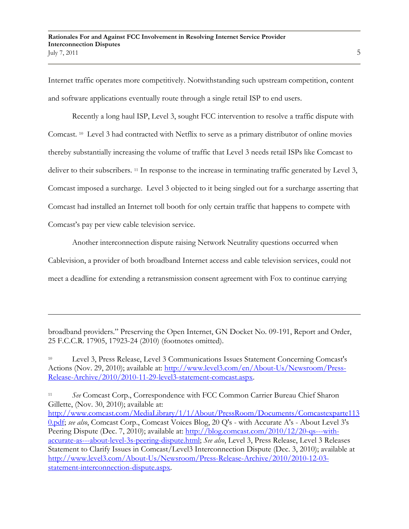Internet traffic operates more competitively. Notwithstanding such upstream competition, content and software applications eventually route through a single retail ISP to end users.

Recently a long haul ISP, Level 3, sought FCC intervention to resolve a traffic dispute with Comcast. <sup>10</sup> Level 3 had contracted with Netflix to serve as a primary distributor of online movies thereby substantially increasing the volume of traffic that Level 3 needs retail ISPs like Comcast to deliver to their subscribers. <sup>11</sup> In response to the increase in terminating traffic generated by Level 3, Comcast imposed a surcharge. Level 3 objected to it being singled out for a surcharge asserting that Comcast had installed an Internet toll booth for only certain traffic that happens to compete with Comcast's pay per view cable television service.

Another interconnection dispute raising Network Neutrality questions occurred when Cablevision, a provider of both broadband Internet access and cable television services, could not meet a deadline for extending a retransmission consent agreement with Fox to continue carrying

broadband providers." Preserving the Open Internet, GN Docket No. 09-191, Report and Order, 25 F.C.C.R. 17905, 17923-24 (2010) (footnotes omitted).

 $\overline{a}$ 

<sup>10</sup> Level 3, Press Release, Level 3 Communications Issues Statement Concerning Comcast's Actions (Nov. 29, 2010); available at: [http://www.level3.com/en/About-Us/Newsroom/Press-](http://www.level3.com/en/About-Us/Newsroom/Press-Release-Archive/2010/2010-11-29-level3-statement-comcast.aspx)[Release-Archive/2010/2010-11-29-level3-statement-comcast.aspx.](http://www.level3.com/en/About-Us/Newsroom/Press-Release-Archive/2010/2010-11-29-level3-statement-comcast.aspx)

<sup>11</sup> *See* Comcast Corp., Correspondence with FCC Common Carrier Bureau Chief Sharon Gillette, (Nov. 30, 2010); available at: [http://www.comcast.com/MediaLibrary/1/1/About/PressRoom/Documents/Comcastexparte113](http://www.comcast.com/MediaLibrary/1/1/About/PressRoom/Documents/Comcastexparte1130.pdf) [0.pdf;](http://www.comcast.com/MediaLibrary/1/1/About/PressRoom/Documents/Comcastexparte1130.pdf) *see also*, Comcast Corp., Comcast Voices Blog, 20 Q's - with Accurate A's - About Level 3's Peering Dispute (Dec. 7, 2010); available at: [http://blog.comcast.com/2010/12/20-qs---with](http://blog.comcast.com/2010/12/20-qs---with-accurate-as---about-level-3s-peering-dispute.html)[accurate-as---about-level-3s-peering-dispute.html;](http://blog.comcast.com/2010/12/20-qs---with-accurate-as---about-level-3s-peering-dispute.html) *See also*, Level 3, Press Release, Level 3 Releases Statement to Clarify Issues in Comcast/Level3 Interconnection Dispute (Dec. 3, 2010); available at [http://www.level3.com/About-Us/Newsroom/Press-Release-Archive/2010/2010-12-03](http://www.level3.com/About-Us/Newsroom/Press-Release-Archive/2010/2010-12-03-statement-interconnection-dispute.aspx) [statement-interconnection-dispute.aspx.](http://www.level3.com/About-Us/Newsroom/Press-Release-Archive/2010/2010-12-03-statement-interconnection-dispute.aspx)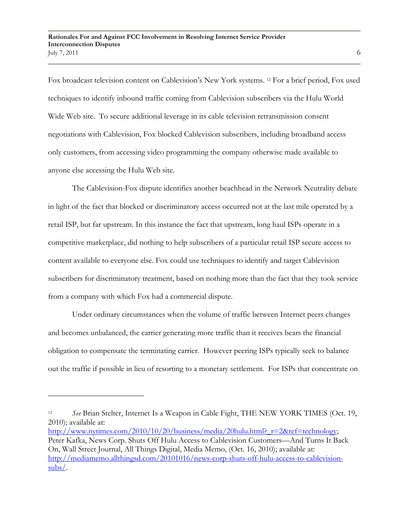Fox broadcast television content on Cablevision's New York systems.<sup>12</sup> For a brief period, Fox used techniques to identify inbound traffic coming from Cablevision subscribers via the Hulu World Wide Web site. To secure additional leverage in its cable television retransmission consent negotiations with Cablevision, Fox blocked Cablevision subscribers, including broadband access only customers, from accessing video programming the company otherwise made available to anyone else accessing the Hulu Web site.

The Cablevision-Fox dispute identifies another beachhead in the Network Neutrality debate in light of the fact that blocked or discriminatory access occurred not at the last mile operated by a retail ISP, but far upstream. In this instance the fact that upstream, long haul ISPs operate in a competitive marketplace, did nothing to help subscribers of a particular retail ISP secure access to content available to everyone else. Fox could use techniques to identify and target Cablevision subscribers for discriminatory treatment, based on nothing more than the fact that they took service from a company with which Fox had a commercial dispute.

Under ordinary circumstances when the volume of traffic between Internet peers changes and becomes unbalanced, the carrier generating more traffic than it receives bears the financial obligation to compensate the terminating carrier. However peering ISPs typically seek to balance out the traffic if possible in lieu of resorting to a monetary settlement. For ISPs that concentrate on

<sup>12</sup> *See* Brian Stelter, Internet Is a Weapon in Cable Fight, THE NEW YORK TIMES (Oct. 19, 2010); available at:

[http://www.nytimes.com/2010/10/20/business/media/20hulu.html?\\_r=2&ref=technology;](http://www.nytimes.com/2010/10/20/business/media/20hulu.html?_r=2&ref=technology) Peter Kafka, News Corp. Shuts Off Hulu Access to Cablevision Customers—And Turns It Back On, Wall Street Journal, All Things Digital, Media Memo, (Oct. 16, 2010); available at: [http://mediamemo.allthingsd.com/20101016/news-corp-shuts-off-hulu-access-to-cablevision](http://mediamemo.allthingsd.com/20101016/news-corp-shuts-off-hulu-access-to-cablevision-subs/)[subs/.](http://mediamemo.allthingsd.com/20101016/news-corp-shuts-off-hulu-access-to-cablevision-subs/)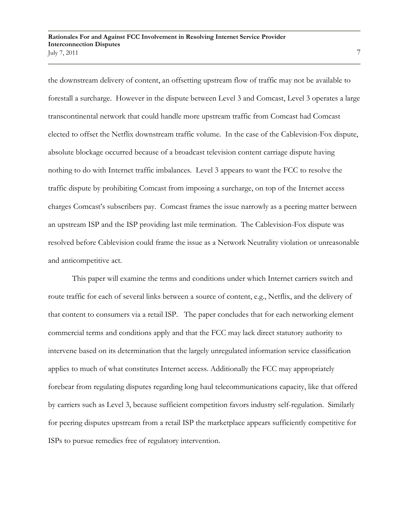the downstream delivery of content, an offsetting upstream flow of traffic may not be available to forestall a surcharge. However in the dispute between Level 3 and Comcast, Level 3 operates a large transcontinental network that could handle more upstream traffic from Comcast had Comcast elected to offset the Netflix downstream traffic volume. In the case of the Cablevision-Fox dispute, absolute blockage occurred because of a broadcast television content carriage dispute having nothing to do with Internet traffic imbalances. Level 3 appears to want the FCC to resolve the traffic dispute by prohibiting Comcast from imposing a surcharge, on top of the Internet access charges Comcast"s subscribers pay. Comcast frames the issue narrowly as a peering matter between an upstream ISP and the ISP providing last mile termination. The Cablevision-Fox dispute was resolved before Cablevision could frame the issue as a Network Neutrality violation or unreasonable and anticompetitive act.

This paper will examine the terms and conditions under which Internet carriers switch and route traffic for each of several links between a source of content, e.g., Netflix, and the delivery of that content to consumers via a retail ISP. The paper concludes that for each networking element commercial terms and conditions apply and that the FCC may lack direct statutory authority to intervene based on its determination that the largely unregulated information service classification applies to much of what constitutes Internet access. Additionally the FCC may appropriately forebear from regulating disputes regarding long haul telecommunications capacity, like that offered by carriers such as Level 3, because sufficient competition favors industry self-regulation. Similarly for peering disputes upstream from a retail ISP the marketplace appears sufficiently competitive for ISPs to pursue remedies free of regulatory intervention.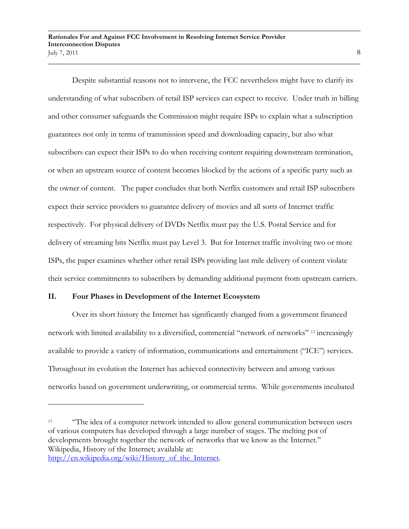Despite substantial reasons not to intervene, the FCC nevertheless might have to clarify its understanding of what subscribers of retail ISP services can expect to receive. Under truth in billing and other consumer safeguards the Commission might require ISPs to explain what a subscription guarantees not only in terms of transmission speed and downloading capacity, but also what subscribers can expect their ISPs to do when receiving content requiring downstream termination, or when an upstream source of content becomes blocked by the actions of a specific party such as the owner of content. The paper concludes that both Netflix customers and retail ISP subscribers expect their service providers to guarantee delivery of movies and all sorts of Internet traffic respectively. For physical delivery of DVDs Netflix must pay the U.S. Postal Service and for delivery of streaming bits Netflix must pay Level 3. But for Internet traffic involving two or more ISPs, the paper examines whether other retail ISPs providing last mile delivery of content violate their service commitments to subscribers by demanding additional payment from upstream carriers.

#### **II. Four Phases in Development of the Internet Ecosystem**

Over its short history the Internet has significantly changed from a government financed network with limited availability to a diversified, commercial "network of networks" <sup>13</sup> increasingly available to provide a variety of information, communications and entertainment ("ICE") services. Throughout its evolution the Internet has achieved connectivity between and among various networks based on government underwriting, or commercial terms. While governments incubated

<sup>&</sup>lt;sup>13</sup> "The idea of a computer network intended to allow general communication between users of various computers has developed through a large number of stages. The melting pot of developments brought together the network of networks that we know as the Internet." Wikipedia, History of the Internet; available at: [http://en.wikipedia.org/wiki/History\\_of\\_the\\_Internet.](http://en.wikipedia.org/wiki/History_of_the_Internet)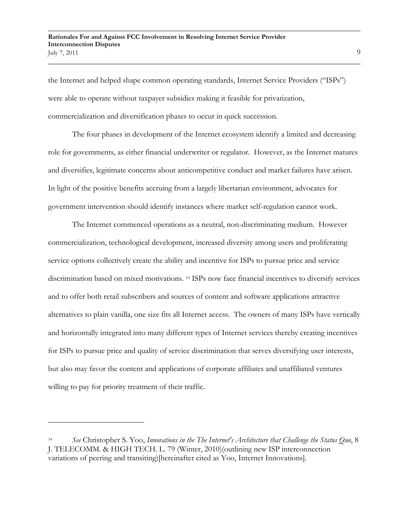the Internet and helped shape common operating standards, Internet Service Providers ("ISPs") were able to operate without taxpayer subsidies making it feasible for privatization, commercialization and diversification phases to occur in quick succession.

The four phases in development of the Internet ecosystem identify a limited and decreasing role for governments, as either financial underwriter or regulator. However, as the Internet matures and diversifies, legitimate concerns about anticompetitive conduct and market failures have arisen. In light of the positive benefits accruing from a largely libertarian environment, advocates for government intervention should identify instances where market self-regulation cannot work.

The Internet commenced operations as a neutral, non-discriminating medium. However commercialization, technological development, increased diversity among users and proliferating service options collectively create the ability and incentive for ISPs to pursue price and service discrimination based on mixed motivations. <sup>14</sup> ISPs now face financial incentives to diversify services and to offer both retail subscribers and sources of content and software applications attractive alternatives to plain vanilla, one size fits all Internet access. The owners of many ISPs have vertically and horizontally integrated into many different types of Internet services thereby creating incentives for ISPs to pursue price and quality of service discrimination that serves diversifying user interests, but also may favor the content and applications of corporate affiliates and unaffiliated ventures willing to pay for priority treatment of their traffic.

<sup>14</sup> *See* Christopher S. Yoo, *Innovations in the The Internet's Architecture that Challenge the Status Quo*, 8 J. TELECOMM. & HIGH TECH. L. 79 (Winter, 2010)(outlining new ISP interconnection variations of peering and transiting)[hereinafter cited as Yoo, Internet Innovations].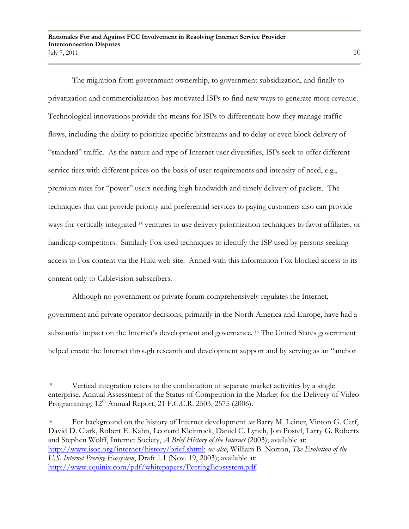The migration from government ownership, to government subsidization, and finally to privatization and commercialization has motivated ISPs to find new ways to generate more revenue. Technological innovations provide the means for ISPs to differentiate how they manage traffic flows, including the ability to prioritize specific bitstreams and to delay or even block delivery of "standard" traffic. As the nature and type of Internet user diversifies, ISPs seek to offer different service tiers with different prices on the basis of user requirements and intensity of need, e.g., premium rates for "power" users needing high bandwidth and timely delivery of packets. The techniques that can provide priority and preferential services to paying customers also can provide ways for vertically integrated <sup>15</sup> ventures to use delivery prioritization techniques to favor affiliates, or handicap competitors. Similarly Fox used techniques to identify the ISP used by persons seeking access to Fox content via the Hulu web site. Armed with this information Fox blocked access to its content only to Cablevision subscribers.

Although no government or private forum comprehensively regulates the Internet, government and private operator decisions, primarily in the North America and Europe, have had a substantial impact on the Internet's development and governance. <sup>16</sup> The United States government helped create the Internet through research and development support and by serving as an "anchor

<sup>16</sup> For background on the history of Internet development *see* Barry M. Leiner, Vinton G. Cerf, David D. Clark, Robert E. Kahn, Leonard Kleinrock, Daniel C. Lynch, Jon Postel, Larry G. Roberts and Stephen Wolff, Internet Society, *A Brief History of the Internet* (2003); available at: [http://www.isoc.org/internet/history/brief.shtml;](http://www.isoc.org/internet/history/brief.shtml) *see also*, William B. Norton, *The Evolution of the U.S. Internet Peering Ecosystem*, Draft 1.1 (Nov. 19, 2003); available at: [http://www.equinix.com/pdf/whitepapers/PeeringEcosystem.pdf.](http://www.equinix.com/pdf/whitepapers/PeeringEcosystem.pdf)

<sup>&</sup>lt;sup>15</sup> Vertical integration refers to the combination of separate market activities by a single enterprise. Annual Assessment of the Status of Competition in the Market for the Delivery of Video Programming, 12<sup>th</sup> Annual Report, 21 F.C.C.R. 2503, 2575 (2006).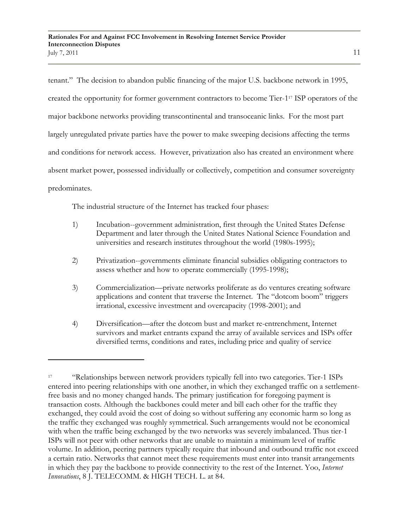tenant." The decision to abandon public financing of the major U.S. backbone network in 1995, created the opportunity for former government contractors to become Tier-1<sup>17</sup> ISP operators of the major backbone networks providing transcontinental and transoceanic links. For the most part largely unregulated private parties have the power to make sweeping decisions affecting the terms and conditions for network access. However, privatization also has created an environment where absent market power, possessed individually or collectively, competition and consumer sovereignty predominates.

The industrial structure of the Internet has tracked four phases:

- 1) Incubation--government administration, first through the United States Defense Department and later through the United States National Science Foundation and universities and research institutes throughout the world (1980s-1995);
- 2) Privatization--governments eliminate financial subsidies obligating contractors to assess whether and how to operate commercially (1995-1998);
- 3) Commercialization—private networks proliferate as do ventures creating software applications and content that traverse the Internet. The "dotcom boom" triggers irrational, excessive investment and overcapacity (1998-2001); and
- 4) Diversification—after the dotcom bust and market re-entrenchment, Internet survivors and market entrants expand the array of available services and ISPs offer diversified terms, conditions and rates, including price and quality of service

<sup>17</sup> "Relationships between network providers typically fell into two categories. Tier-1 ISPs entered into peering relationships with one another, in which they exchanged traffic on a settlementfree basis and no money changed hands. The primary justification for foregoing payment is transaction costs. Although the backbones could meter and bill each other for the traffic they exchanged, they could avoid the cost of doing so without suffering any economic harm so long as the traffic they exchanged was roughly symmetrical. Such arrangements would not be economical with when the traffic being exchanged by the two networks was severely imbalanced. Thus tier-1 ISPs will not peer with other networks that are unable to maintain a minimum level of traffic volume. In addition, peering partners typically require that inbound and outbound traffic not exceed a certain ratio. Networks that cannot meet these requirements must enter into transit arrangements in which they pay the backbone to provide connectivity to the rest of the Internet. Yoo, *Internet Innovations*, 8 J. TELECOMM. & HIGH TECH. L. at 84.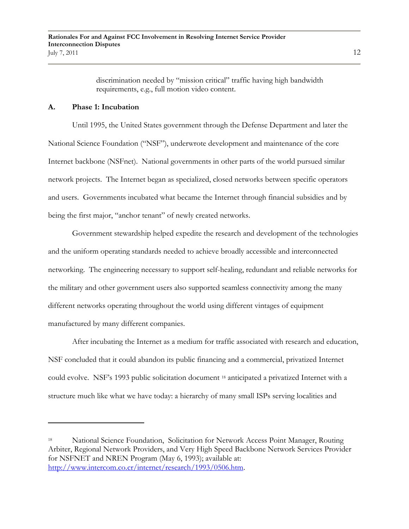discrimination needed by "mission critical" traffic having high bandwidth requirements, e.g., full motion video content.

### **A. Phase 1: Incubation**

 $\overline{a}$ 

Until 1995, the United States government through the Defense Department and later the National Science Foundation ("NSF"), underwrote development and maintenance of the core Internet backbone (NSFnet). National governments in other parts of the world pursued similar network projects. The Internet began as specialized, closed networks between specific operators and users. Governments incubated what became the Internet through financial subsidies and by being the first major, "anchor tenant" of newly created networks.

Government stewardship helped expedite the research and development of the technologies and the uniform operating standards needed to achieve broadly accessible and interconnected networking. The engineering necessary to support self-healing, redundant and reliable networks for the military and other government users also supported seamless connectivity among the many different networks operating throughout the world using different vintages of equipment manufactured by many different companies.

After incubating the Internet as a medium for traffic associated with research and education, NSF concluded that it could abandon its public financing and a commercial, privatized Internet could evolve. NSF"s 1993 public solicitation document <sup>18</sup> anticipated a privatized Internet with a structure much like what we have today: a hierarchy of many small ISPs serving localities and

<sup>18</sup> National Science Foundation, Solicitation for Network Access Point Manager, Routing Arbiter, Regional Network Providers, and Very High Speed Backbone Network Services Provider for NSFNET and NREN Program (May 6, 1993); available at: [http://www.intercom.co.cr/internet/research/1993/0506.htm.](http://www.intercom.co.cr/internet/research/1993/0506.htm)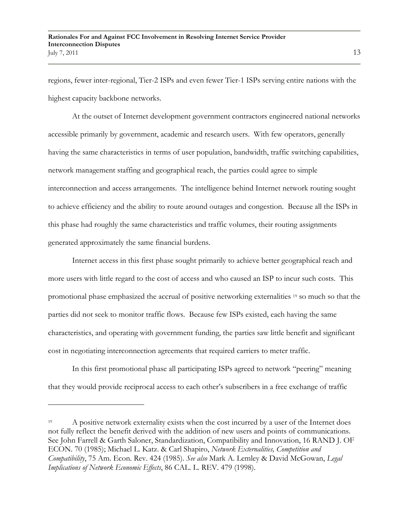regions, fewer inter-regional, Tier-2 ISPs and even fewer Tier-1 ISPs serving entire nations with the highest capacity backbone networks.

At the outset of Internet development government contractors engineered national networks accessible primarily by government, academic and research users. With few operators, generally having the same characteristics in terms of user population, bandwidth, traffic switching capabilities, network management staffing and geographical reach, the parties could agree to simple interconnection and access arrangements. The intelligence behind Internet network routing sought to achieve efficiency and the ability to route around outages and congestion. Because all the ISPs in this phase had roughly the same characteristics and traffic volumes, their routing assignments generated approximately the same financial burdens.

Internet access in this first phase sought primarily to achieve better geographical reach and more users with little regard to the cost of access and who caused an ISP to incur such costs. This promotional phase emphasized the accrual of positive networking externalities <sup>19</sup> so much so that the parties did not seek to monitor traffic flows. Because few ISPs existed, each having the same characteristics, and operating with government funding, the parties saw little benefit and significant cost in negotiating interconnection agreements that required carriers to meter traffic.

In this first promotional phase all participating ISPs agreed to network "peering" meaning that they would provide reciprocal access to each other"s subscribers in a free exchange of traffic

<sup>&</sup>lt;sup>19</sup> A positive network externality exists when the cost incurred by a user of the Internet does not fully reflect the benefit derived with the addition of new users and points of communications. See John Farrell & Garth Saloner, Standardization, Compatibility and Innovation, 16 RAND J. OF ECON. 70 (1985); Michael L. Katz. & Carl Shapiro, *Network Externalities, Competition and Compatibility*, 75 Am. Econ. Rev. 424 (1985). *See also* Mark A. Lemley & David McGowan, *Legal Implications of Network Economic Effects*, 86 CAL. L. REV. 479 (1998).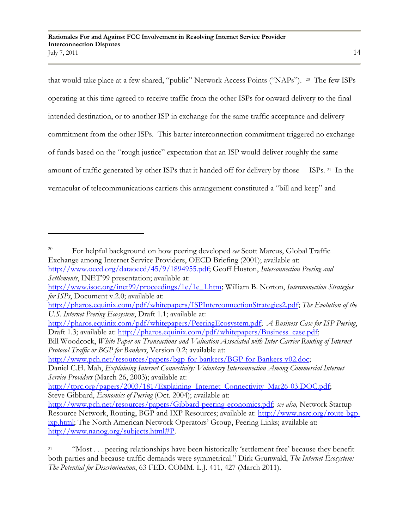that would take place at a few shared, "public" Network Access Points ("NAPs"). <sup>20</sup> The few ISPs operating at this time agreed to receive traffic from the other ISPs for onward delivery to the final intended destination, or to another ISP in exchange for the same traffic acceptance and delivery commitment from the other ISPs. This barter interconnection commitment triggered no exchange of funds based on the "rough justice" expectation that an ISP would deliver roughly the same amount of traffic generated by other ISPs that it handed off for delivery by those ISPs. 21 In the vernacular of telecommunications carriers this arrangement constituted a "bill and keep" and

[http://www.pch.net/resources/papers/bgp-for-bankers/BGP-for-Bankers-v02.doc;](http://www.pch.net/resources/papers/bgp-for-bankers/BGP-for-Bankers-v02.doc)

<sup>20</sup> For helpful background on how peering developed *see* Scott Marcus, Global Traffic Exchange among Internet Service Providers, OECD Briefing (2001); available at: [http://www.oecd.org/dataoecd/45/9/1894955.pdf;](http://www.oecd.org/dataoecd/45/9/1894955.pdf) Geoff Huston, *Interconnection Peering and* 

*Settlements*, INET"99 presentation; available at:

[http://www.isoc.org/inet99/proceedings/1e/1e\\_1.htm;](http://www.isoc.org/inet99/proceedings/1e/1e_1.htm) William B. Norton, *Interconnection Strategies for ISPs*, Document v.2.0; available at:

[http://pharos.equinix.com/pdf/whitepapers/ISPInterconnectionStrategies2.pdf;](http://pharos.equinix.com/pdf/whitepapers/ISPInterconnectionStrategies2.pdf) *The Evolution of the U.S. Internet Peering Ecosystem*, Draft 1.1; available at:

[http://pharos.equinix.com/pdf/whitepapers/PeeringEcosystem.pdf;](http://pharos.equinix.com/pdf/whitepapers/PeeringEcosystem.pdf) *A Business Case for ISP Peering*, Draft 1.3; available at: [http://pharos.equinix.com/pdf/whitepapers/Business\\_case.pdf;](http://pharos.equinix.com/pdf/whitepapers/Business_case.pdf)

Bill Woodcock, *White Paper on Transactions and Valuation Associated with Inter-Carrier Routing of Internet Protocol Traffic or BGP for Bankers*, Version 0.2; available at:

Daniel C.H. Mah, *Explaining Internet Connectivity: Voluntary Interconnection Among Commercial Internet Service Providers* (March 26, 2003); available at:

[http://tprc.org/papers/2003/181/Explaining\\_Internet\\_Connectivity\\_Mar26-03.DOC.pdf;](http://tprc.org/papers/2003/181/Explaining_Internet_Connectivity_Mar26-03.DOC.pdf) Steve Gibbard, *Economics of Peering* (Oct. 2004); available at:

[http://www.pch.net/resources/papers/Gibbard-peering-economics.pdf;](http://www.pch.net/resources/papers/Gibbard-peering-economics.pdf) *see also,* Network Startup Resource Network, Routing, BGP and IXP Resources; available at: [http://www.nsrc.org/route-bgp](http://www.nsrc.org/route-bgp-ixp.html)[ixp.html;](http://www.nsrc.org/route-bgp-ixp.html) The North American Network Operators' Group, Peering Links; available at: [http://www.nanog.org/subjects.html#P.](http://www.nanog.org/subjects.html#P)

<sup>&</sup>lt;sup>21</sup> "Most . . . peering relationships have been historically 'settlement free' because they benefit both parties and because traffic demands were symmetrical." Dirk Grunwald, *The Internet Ecosystem: The Potential for Discrimination*, 63 FED. COMM. L.J. 411, 427 (March 2011).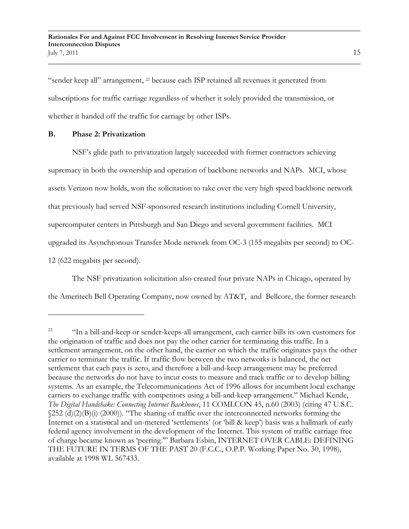"sender keep all" arrangement, <sup>22</sup> because each ISP retained all revenues it generated from subscriptions for traffic carriage regardless of whether it solely provided the transmission, or whether it handed off the traffic for carriage by other ISPs.

## **B. Phase 2: Privatization**

 $\overline{a}$ 

NSF"s glide path to privatization largely succeeded with former contractors achieving supremacy in both the ownership and operation of backbone networks and NAPs. MCI, whose assets Verizon now holds, won the solicitation to take over the very high speed backbone network that previously had served NSF-sponsored research institutions including Cornell University, supercomputer centers in Pittsburgh and San Diego and several government facilities. MCI upgraded its Asynchronous Transfer Mode network from OC-3 (155 megabits per second) to OC-12 (622 megabits per second).

The NSF privatization solicitation also created four private NAPs in Chicago, operated by

the Ameritech Bell Operating Company, now owned by AT&T, and Bellcore, the former research

<sup>&</sup>lt;sup>22</sup> "In a bill-and-keep or sender-keeps-all arrangement, each carrier bills its own customers for the origination of traffic and does not pay the other carrier for terminating this traffic. In a settlement arrangement, on the other hand, the carrier on which the traffic originates pays the other carrier to terminate the traffic. If traffic flow between the two networks is balanced, the net settlement that each pays is zero, and therefore a bill-and-keep arrangement may be preferred because the networks do not have to incur costs to measure and track traffic or to develop billing systems. As an example, the Telecommunications Act of 1996 allows for incumbent local exchange carriers to exchange traffic with competitors using a bill-and-keep arrangement." Michael Kende, *The Digital Handshake: Connecting Internet Backbones*, 11 COMLCON 45, n.60 (2003) (citing 47 U.S.C.  $\sqrt{252}$  (d)(2)(B)(i) (2000)). "The sharing of traffic over the interconnected networks forming the Internet on a statistical and un-metered 'settlements' (or 'bill & keep') basis was a hallmark of early federal agency involvement in the development of the Internet. This system of traffic carriage free of charge became known as "peering."" Barbara Esbin, INTERNET OVER CABLE: DEFINING THE FUTURE IN TERMS OF THE PAST 20 (F.C.C., O.P.P. Working Paper No. 30, 1998), available at 1998 WL 567433.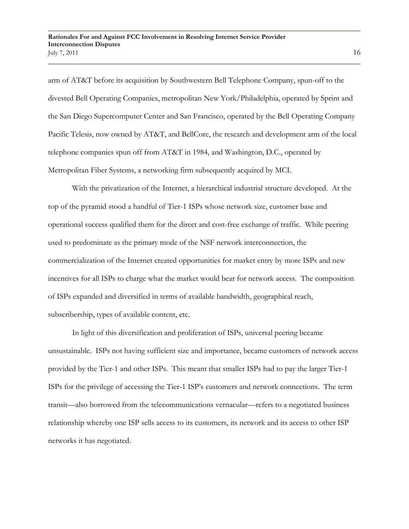arm of AT&T before its acquisition by Southwestern Bell Telephone Company, spun-off to the divested Bell Operating Companies, metropolitan New York/Philadelphia, operated by Sprint and the San Diego Supercomputer Center and San Francisco, operated by the Bell Operating Company Pacific Telesis, now owned by AT&T, and BellCore, the research and development arm of the local telephone companies spun off from AT&T in 1984, and Washington, D.C., operated by Metropolitan Fiber Systems, a networking firm subsequently acquired by MCI.

With the privatization of the Internet, a hierarchical industrial structure developed. At the top of the pyramid stood a handful of Tier-1 ISPs whose network size, customer base and operational success qualified them for the direct and cost-free exchange of traffic. While peering used to predominate as the primary mode of the NSF network interconnection, the commercialization of the Internet created opportunities for market entry by more ISPs and new incentives for all ISPs to charge what the market would bear for network access. The composition of ISPs expanded and diversified in terms of available bandwidth, geographical reach, subscribership, types of available content, etc.

In light of this diversification and proliferation of ISPs, universal peering became unsustainable. ISPs not having sufficient size and importance, became customers of network access provided by the Tier-1 and other ISPs. This meant that smaller ISPs had to pay the larger Tier-1 ISPs for the privilege of accessing the Tier-1 ISP"s customers and network connections. The term transit—also borrowed from the telecommunications vernacular—refers to a negotiated business relationship whereby one ISP sells access to its customers, its network and its access to other ISP networks it has negotiated.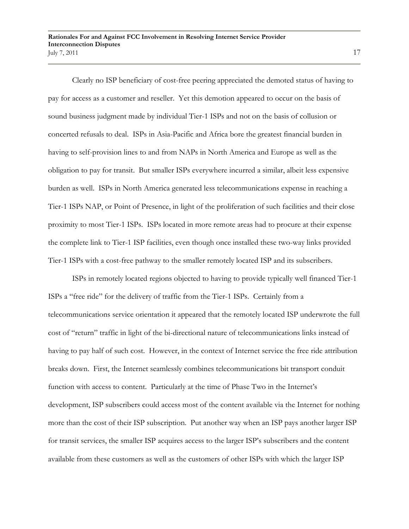Clearly no ISP beneficiary of cost-free peering appreciated the demoted status of having to pay for access as a customer and reseller. Yet this demotion appeared to occur on the basis of sound business judgment made by individual Tier-1 ISPs and not on the basis of collusion or concerted refusals to deal. ISPs in Asia-Pacific and Africa bore the greatest financial burden in having to self-provision lines to and from NAPs in North America and Europe as well as the obligation to pay for transit. But smaller ISPs everywhere incurred a similar, albeit less expensive burden as well. ISPs in North America generated less telecommunications expense in reaching a Tier-1 ISPs NAP, or Point of Presence, in light of the proliferation of such facilities and their close proximity to most Tier-1 ISPs. ISPs located in more remote areas had to procure at their expense the complete link to Tier-1 ISP facilities, even though once installed these two-way links provided Tier-1 ISPs with a cost-free pathway to the smaller remotely located ISP and its subscribers.

ISPs in remotely located regions objected to having to provide typically well financed Tier-1 ISPs a "free ride" for the delivery of traffic from the Tier-1 ISPs. Certainly from a telecommunications service orientation it appeared that the remotely located ISP underwrote the full cost of "return" traffic in light of the bi-directional nature of telecommunications links instead of having to pay half of such cost. However, in the context of Internet service the free ride attribution breaks down. First, the Internet seamlessly combines telecommunications bit transport conduit function with access to content. Particularly at the time of Phase Two in the Internet's development, ISP subscribers could access most of the content available via the Internet for nothing more than the cost of their ISP subscription. Put another way when an ISP pays another larger ISP for transit services, the smaller ISP acquires access to the larger ISP"s subscribers and the content available from these customers as well as the customers of other ISPs with which the larger ISP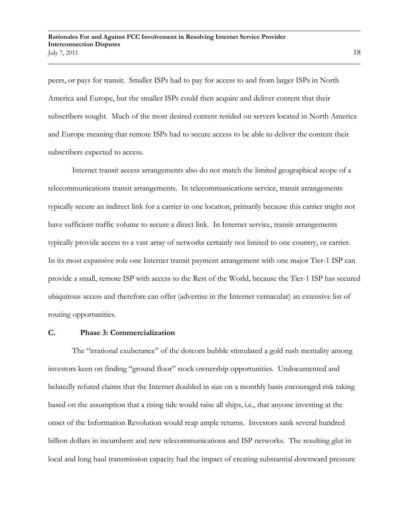peers, or pays for transit. Smaller ISPs had to pay for access to and from larger ISPs in North America and Europe, but the smaller ISPs could then acquire and deliver content that their subscribers sought. Much of the most desired content resided on servers located in North America and Europe meaning that remote ISPs had to secure access to be able to deliver the content their subscribers expected to access.

Internet transit access arrangements also do not match the limited geographical scope of a telecommunications transit arrangements. In telecommunications service, transit arrangements typically secure an indirect link for a carrier in one location, primarily because this carrier might not have sufficient traffic volume to secure a direct link. In Internet service, transit arrangements typically provide access to a vast array of networks certainly not limited to one country, or carrier. In its most expansive role one Internet transit payment arrangement with one major Tier-1 ISP can provide a small, remote ISP with access to the Rest of the World, because the Tier-1 ISP has secured ubiquitous access and therefore can offer (advertise in the Internet vernacular) an extensive list of routing opportunities.

### **C. Phase 3: Commercialization**

The "irrational exuberance" of the dotcom bubble stimulated a gold rush mentality among investors keen on finding "ground floor" stock ownership opportunities. Undocumented and belatedly refuted claims that the Internet doubled in size on a monthly basis encouraged risk taking based on the assumption that a rising tide would raise all ships, i.e., that anyone investing at the onset of the Information Revolution would reap ample returns. Investors sank several hundred billion dollars in incumbent and new telecommunications and ISP networks. The resulting glut in local and long haul transmission capacity had the impact of creating substantial downward pressure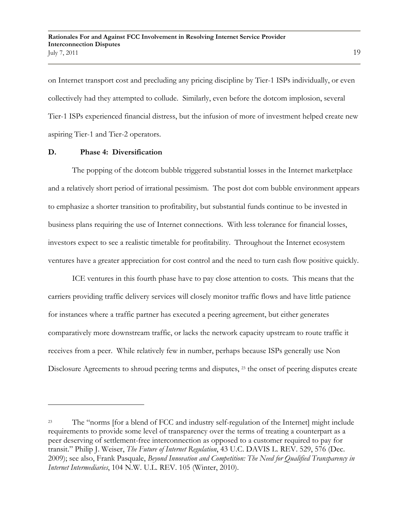on Internet transport cost and precluding any pricing discipline by Tier-1 ISPs individually, or even collectively had they attempted to collude. Similarly, even before the dotcom implosion, several Tier-1 ISPs experienced financial distress, but the infusion of more of investment helped create new aspiring Tier-1 and Tier-2 operators.

### **D. Phase 4: Diversification**

The popping of the dotcom bubble triggered substantial losses in the Internet marketplace and a relatively short period of irrational pessimism. The post dot com bubble environment appears to emphasize a shorter transition to profitability, but substantial funds continue to be invested in business plans requiring the use of Internet connections. With less tolerance for financial losses, investors expect to see a realistic timetable for profitability. Throughout the Internet ecosystem ventures have a greater appreciation for cost control and the need to turn cash flow positive quickly.

ICE ventures in this fourth phase have to pay close attention to costs. This means that the carriers providing traffic delivery services will closely monitor traffic flows and have little patience for instances where a traffic partner has executed a peering agreement, but either generates comparatively more downstream traffic, or lacks the network capacity upstream to route traffic it receives from a peer. While relatively few in number, perhaps because ISPs generally use Non Disclosure Agreements to shroud peering terms and disputes, <sup>23</sup> the onset of peering disputes create

<sup>&</sup>lt;sup>23</sup> The "norms [for a blend of FCC and industry self-regulation of the Internet] might include requirements to provide some level of transparency over the terms of treating a counterpart as a peer deserving of settlement-free interconnection as opposed to a customer required to pay for transit." Philip J. Weiser, *The Future of Internet Regulation*, 43 U.C. DAVIS L. REV. 529, 576 (Dec. 2009); see also, Frank Pasquale, *Beyond Innovation and Competition: The Need for Qualified Transparency in Internet Intermediaries*, 104 N.W. U.L. REV. 105 (Winter, 2010).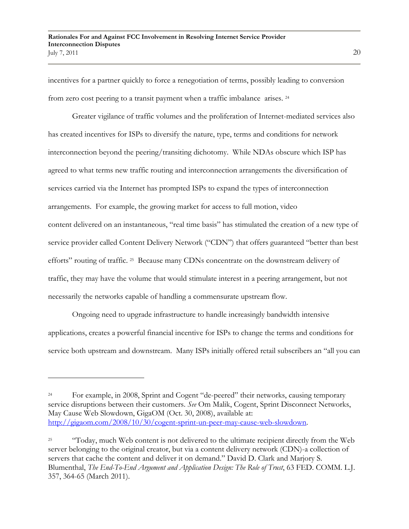incentives for a partner quickly to force a renegotiation of terms, possibly leading to conversion from zero cost peering to a transit payment when a traffic imbalance arises. <sup>24</sup>

Greater vigilance of traffic volumes and the proliferation of Internet-mediated services also has created incentives for ISPs to diversify the nature, type, terms and conditions for network interconnection beyond the peering/transiting dichotomy. While NDAs obscure which ISP has agreed to what terms new traffic routing and interconnection arrangements the diversification of services carried via the Internet has prompted ISPs to expand the types of interconnection arrangements. For example, the growing market for access to full motion, video content delivered on an instantaneous, "real time basis" has stimulated the creation of a new type of service provider called Content Delivery Network ("CDN") that offers guaranteed "better than best efforts" routing of traffic. <sup>25</sup> Because many CDNs concentrate on the downstream delivery of traffic, they may have the volume that would stimulate interest in a peering arrangement, but not necessarily the networks capable of handling a commensurate upstream flow.

Ongoing need to upgrade infrastructure to handle increasingly bandwidth intensive applications, creates a powerful financial incentive for ISPs to change the terms and conditions for service both upstream and downstream. Many ISPs initially offered retail subscribers an "all you can

<sup>&</sup>lt;sup>24</sup> For example, in 2008, Sprint and Cogent "de-peered" their networks, causing temporary service disruptions between their customers. *See* Om Malik, Cogent, Sprint Disconnect Networks, May Cause Web Slowdown, GigaOM (Oct. 30, 2008), available at: [http://gigaom.com/2008/10/30/cogent-sprint-un-peer-may-cause-web-slowdown.](http://gigaom.com/2008/10/30/cogent-sprint-un-peer-may-cause-web-slowdown)

<sup>&</sup>lt;sup>25</sup> "Today, much Web content is not delivered to the ultimate recipient directly from the Web server belonging to the original creator, but via a content delivery network (CDN)-a collection of servers that cache the content and deliver it on demand." David D. Clark and Marjory S. Blumenthal, *The End-To-End Argument and Application Design: The Role of Trust*, 63 FED. COMM. L.J. 357, 364-65 (March 2011).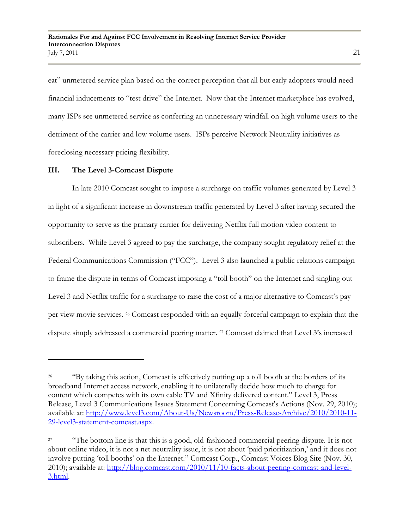eat" unmetered service plan based on the correct perception that all but early adopters would need financial inducements to "test drive" the Internet. Now that the Internet marketplace has evolved, many ISPs see unmetered service as conferring an unnecessary windfall on high volume users to the detriment of the carrier and low volume users. ISPs perceive Network Neutrality initiatives as foreclosing necessary pricing flexibility.

# **III. The Level 3-Comcast Dispute**

In late 2010 Comcast sought to impose a surcharge on traffic volumes generated by Level 3 in light of a significant increase in downstream traffic generated by Level 3 after having secured the opportunity to serve as the primary carrier for delivering Netflix full motion video content to subscribers. While Level 3 agreed to pay the surcharge, the company sought regulatory relief at the Federal Communications Commission ("FCC"). Level 3 also launched a public relations campaign to frame the dispute in terms of Comcast imposing a "toll booth" on the Internet and singling out Level 3 and Netflix traffic for a surcharge to raise the cost of a major alternative to Comcast's pay per view movie services. <sup>26</sup> Comcast responded with an equally forceful campaign to explain that the dispute simply addressed a commercial peering matter. <sup>27</sup> Comcast claimed that Level 3's increased

<sup>&</sup>lt;sup>26</sup> "By taking this action, Comcast is effectively putting up a toll booth at the borders of its broadband Internet access network, enabling it to unilaterally decide how much to charge for content which competes with its own cable TV and Xfinity delivered content." Level 3, Press Release, Level 3 Communications Issues Statement Concerning Comcast's Actions (Nov. 29, 2010); available at: [http://www.level3.com/About-Us/Newsroom/Press-Release-Archive/2010/2010-11-](http://www.level3.com/About-Us/Newsroom/Press-Release-Archive/2010/2010-11-29-level3-statement-comcast.aspx) [29-level3-statement-comcast.aspx.](http://www.level3.com/About-Us/Newsroom/Press-Release-Archive/2010/2010-11-29-level3-statement-comcast.aspx)

<sup>&</sup>lt;sup>27</sup> "The bottom line is that this is a good, old-fashioned commercial peering dispute. It is not about online video, it is not a net neutrality issue, it is not about "paid prioritization," and it does not involve putting "toll booths" on the Internet." Comcast Corp., Comcast Voices Blog Site (Nov. 30, 2010); available at: [http://blog.comcast.com/2010/11/10-facts-about-peering-comcast-and-level-](http://blog.comcast.com/2010/11/10-facts-about-peering-comcast-and-level-3.html)[3.html.](http://blog.comcast.com/2010/11/10-facts-about-peering-comcast-and-level-3.html)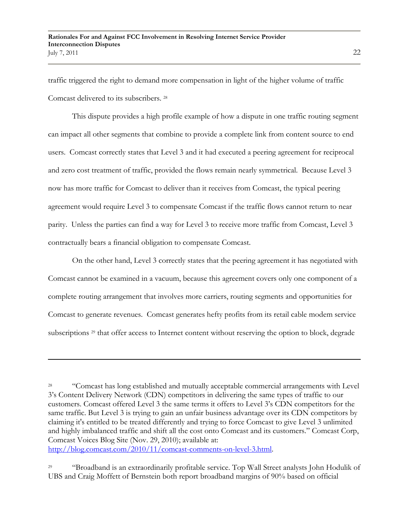traffic triggered the right to demand more compensation in light of the higher volume of traffic Comcast delivered to its subscribers. 28

This dispute provides a high profile example of how a dispute in one traffic routing segment can impact all other segments that combine to provide a complete link from content source to end users. Comcast correctly states that Level 3 and it had executed a peering agreement for reciprocal and zero cost treatment of traffic, provided the flows remain nearly symmetrical. Because Level 3 now has more traffic for Comcast to deliver than it receives from Comcast, the typical peering agreement would require Level 3 to compensate Comcast if the traffic flows cannot return to near parity. Unless the parties can find a way for Level 3 to receive more traffic from Comcast, Level 3 contractually bears a financial obligation to compensate Comcast.

On the other hand, Level 3 correctly states that the peering agreement it has negotiated with Comcast cannot be examined in a vacuum, because this agreement covers only one component of a complete routing arrangement that involves more carriers, routing segments and opportunities for Comcast to generate revenues. Comcast generates hefty profits from its retail cable modem service subscriptions <sup>29</sup> that offer access to Internet content without reserving the option to block, degrade

 $\overline{a}$ 

<sup>29</sup> "Broadband is an extraordinarily profitable service. Top Wall Street analysts John Hodulik of UBS and Craig Moffett of Bernstein both report broadband margins of 90% based on official

<sup>&</sup>lt;sup>28</sup> "Comcast has long established and mutually acceptable commercial arrangements with Level 3"s Content Delivery Network (CDN) competitors in delivering the same types of traffic to our customers. Comcast offered Level 3 the same terms it offers to Level 3"s CDN competitors for the same traffic. But Level 3 is trying to gain an unfair business advantage over its CDN competitors by claiming it's entitled to be treated differently and trying to force Comcast to give Level 3 unlimited and highly imbalanced traffic and shift all the cost onto Comcast and its customers." Comcast Corp, Comcast Voices Blog Site (Nov. 29, 2010); available at: [http://blog.comcast.com/2010/11/comcast-comments-on-level-3.html.](http://blog.comcast.com/2010/11/comcast-comments-on-level-3.html)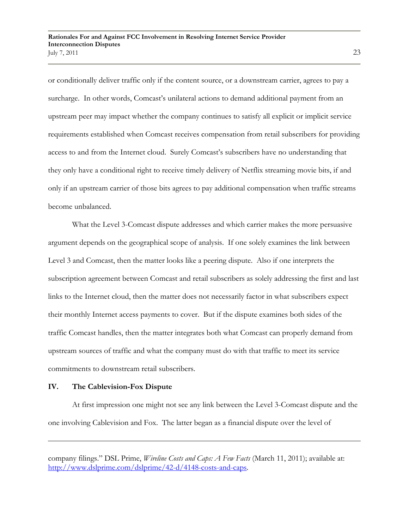or conditionally deliver traffic only if the content source, or a downstream carrier, agrees to pay a surcharge. In other words, Comcast's unilateral actions to demand additional payment from an upstream peer may impact whether the company continues to satisfy all explicit or implicit service requirements established when Comcast receives compensation from retail subscribers for providing access to and from the Internet cloud. Surely Comcast's subscribers have no understanding that they only have a conditional right to receive timely delivery of Netflix streaming movie bits, if and only if an upstream carrier of those bits agrees to pay additional compensation when traffic streams become unbalanced.

What the Level 3-Comcast dispute addresses and which carrier makes the more persuasive argument depends on the geographical scope of analysis. If one solely examines the link between Level 3 and Comcast, then the matter looks like a peering dispute. Also if one interprets the subscription agreement between Comcast and retail subscribers as solely addressing the first and last links to the Internet cloud, then the matter does not necessarily factor in what subscribers expect their monthly Internet access payments to cover. But if the dispute examines both sides of the traffic Comcast handles, then the matter integrates both what Comcast can properly demand from upstream sources of traffic and what the company must do with that traffic to meet its service commitments to downstream retail subscribers.

#### **IV. The Cablevision-Fox Dispute**

 $\overline{a}$ 

At first impression one might not see any link between the Level 3-Comcast dispute and the one involving Cablevision and Fox. The latter began as a financial dispute over the level of

company filings." DSL Prime, *Wireline Costs and Caps: A Few Facts* (March 11, 2011); available at: [http://www.dslprime.com/dslprime/42-d/4148-costs-and-caps.](http://www.dslprime.com/dslprime/42-d/4148-costs-and-caps)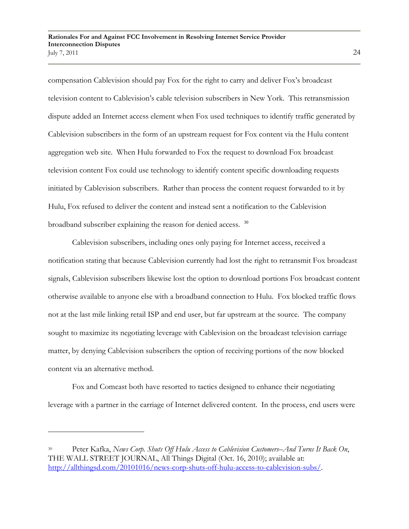compensation Cablevision should pay Fox for the right to carry and deliver Fox"s broadcast television content to Cablevision"s cable television subscribers in New York. This retransmission dispute added an Internet access element when Fox used techniques to identify traffic generated by Cablevision subscribers in the form of an upstream request for Fox content via the Hulu content aggregation web site. When Hulu forwarded to Fox the request to download Fox broadcast television content Fox could use technology to identify content specific downloading requests initiated by Cablevision subscribers. Rather than process the content request forwarded to it by Hulu, Fox refused to deliver the content and instead sent a notification to the Cablevision broadband subscriber explaining the reason for denied access. <sup>30</sup>

Cablevision subscribers, including ones only paying for Internet access, received a notification stating that because Cablevision currently had lost the right to retransmit Fox broadcast signals, Cablevision subscribers likewise lost the option to download portions Fox broadcast content otherwise available to anyone else with a broadband connection to Hulu. Fox blocked traffic flows not at the last mile linking retail ISP and end user, but far upstream at the source. The company sought to maximize its negotiating leverage with Cablevision on the broadcast television carriage matter, by denying Cablevision subscribers the option of receiving portions of the now blocked content via an alternative method.

Fox and Comcast both have resorted to tactics designed to enhance their negotiating leverage with a partner in the carriage of Internet delivered content. In the process, end users were

<sup>30</sup> Peter Kafka, *News Corp. Shuts Off Hulu Access to Cablevision Customers–And Turns It Back On*, THE WALL STREET JOURNAL, All Things Digital (Oct. 16, 2010); available at: [http://allthingsd.com/20101016/news-corp-shuts-off-hulu-access-to-cablevision-subs/.](http://allthingsd.com/20101016/news-corp-shuts-off-hulu-access-to-cablevision-subs/)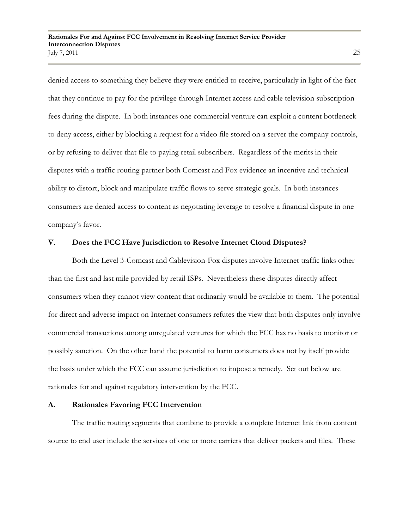denied access to something they believe they were entitled to receive, particularly in light of the fact that they continue to pay for the privilege through Internet access and cable television subscription fees during the dispute. In both instances one commercial venture can exploit a content bottleneck to deny access, either by blocking a request for a video file stored on a server the company controls, or by refusing to deliver that file to paying retail subscribers. Regardless of the merits in their disputes with a traffic routing partner both Comcast and Fox evidence an incentive and technical ability to distort, block and manipulate traffic flows to serve strategic goals. In both instances consumers are denied access to content as negotiating leverage to resolve a financial dispute in one company's favor.

# **V. Does the FCC Have Jurisdiction to Resolve Internet Cloud Disputes?**

Both the Level 3-Comcast and Cablevision-Fox disputes involve Internet traffic links other than the first and last mile provided by retail ISPs. Nevertheless these disputes directly affect consumers when they cannot view content that ordinarily would be available to them. The potential for direct and adverse impact on Internet consumers refutes the view that both disputes only involve commercial transactions among unregulated ventures for which the FCC has no basis to monitor or possibly sanction. On the other hand the potential to harm consumers does not by itself provide the basis under which the FCC can assume jurisdiction to impose a remedy. Set out below are rationales for and against regulatory intervention by the FCC.

#### **A. Rationales Favoring FCC Intervention**

The traffic routing segments that combine to provide a complete Internet link from content source to end user include the services of one or more carriers that deliver packets and files. These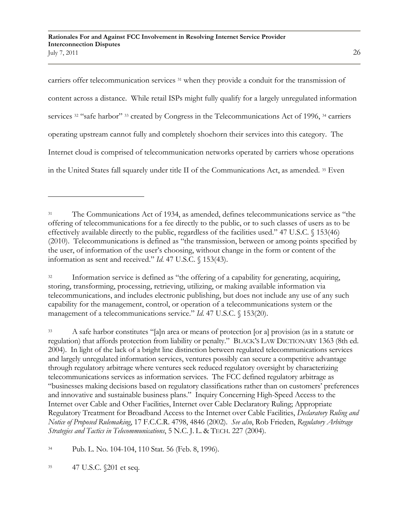carriers offer telecommunication services <sup>31</sup> when they provide a conduit for the transmission of content across a distance. While retail ISPs might fully qualify for a largely unregulated information services <sup>32</sup> "safe harbor" <sup>33</sup> created by Congress in the Telecommunications Act of 1996, <sup>34</sup> carriers operating upstream cannot fully and completely shoehorn their services into this category. The Internet cloud is comprised of telecommunication networks operated by carriers whose operations in the United States fall squarely under title II of the Communications Act, as amended. <sup>35</sup> Even

<sup>32</sup> Information service is defined as "the offering of a capability for generating, acquiring, storing, transforming, processing, retrieving, utilizing, or making available information via telecommunications, and includes electronic publishing, but does not include any use of any such capability for the management, control, or operation of a telecommunications system or the management of a telecommunications service." *Id*. 47 U.S.C. § 153(20).

<sup>33</sup> A safe harbor constitutes "[a]n area or means of protection [or a] provision (as in a statute or regulation) that affords protection from liability or penalty." BLACK"S LAW DICTIONARY 1363 (8th ed. 2004). In light of the lack of a bright line distinction between regulated telecommunications services and largely unregulated information services, ventures possibly can secure a competitive advantage through regulatory arbitrage where ventures seek reduced regulatory oversight by characterizing telecommunications services as information services. The FCC defined regulatory arbitrage as "businesses making decisions based on regulatory classifications rather than on customers" preferences and innovative and sustainable business plans." Inquiry Concerning High-Speed Access to the Internet over Cable and Other Facilities, Internet over Cable Declaratory Ruling; Appropriate Regulatory Treatment for Broadband Access to the Internet over Cable Facilities, *Declaratory Ruling and Notice of Proposed Rulemaking*, 17 F.C.C.R. 4798, 4846 (2002). *See also*, Rob Frieden, *Regulatory Arbitrage Strategies and Tactics in Telecommunications*, 5 N.C. J. L. & TECH. 227 (2004).

<sup>34</sup> Pub. L. No. 104-104, 110 Stat. 56 (Feb. 8, 1996).

<sup>35</sup> 47 U.S.C. §201 et seq.

<sup>31</sup> The Communications Act of 1934, as amended, defines telecommunications service as "the offering of telecommunications for a fee directly to the public, or to such classes of users as to be effectively available directly to the public, regardless of the facilities used." 47 U.S.C. § 153(46) (2010). Telecommunications is defined as "the transmission, between or among points specified by the user, of information of the user"s choosing, without change in the form or content of the information as sent and received." *Id*. 47 U.S.C. § 153(43).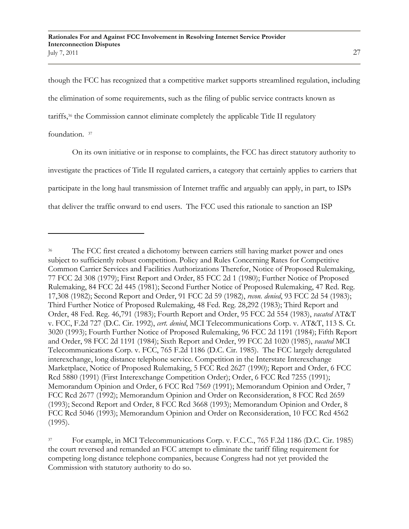though the FCC has recognized that a competitive market supports streamlined regulation, including the elimination of some requirements, such as the filing of public service contracts known as tariffs,<sup>36</sup> the Commission cannot eliminate completely the applicable Title II regulatory foundation. 37

On its own initiative or in response to complaints, the FCC has direct statutory authority to investigate the practices of Title II regulated carriers, a category that certainly applies to carriers that participate in the long haul transmission of Internet traffic and arguably can apply, in part, to ISPs that deliver the traffic onward to end users. The FCC used this rationale to sanction an ISP

The FCC first created a dichotomy between carriers still having market power and ones subject to sufficiently robust competition. Policy and Rules Concerning Rates for Competitive Common Carrier Services and Facilities Authorizations Therefor, Notice of Proposed Rulemaking, 77 FCC 2d 308 (1979); First Report and Order, 85 FCC 2d 1 (1980); Further Notice of Proposed Rulemaking, 84 FCC 2d 445 (1981); Second Further Notice of Proposed Rulemaking, 47 Red. Reg. 17,308 (1982); Second Report and Order, 91 FCC 2d 59 (1982), *recon. denied*, 93 FCC 2d 54 (1983); Third Further Notice of Proposed Rulemaking, 48 Fed. Reg. 28,292 (1983); Third Report and Order, 48 Fed. Reg. 46,791 (1983); Fourth Report and Order, 95 FCC 2d 554 (1983), *vacated* AT&T v. FCC, F.2d 727 (D.C. Cir. 1992), *cert. denied*, MCI Telecommunications Corp. v. AT&T, 113 S. Ct. 3020 (1993); Fourth Further Notice of Proposed Rulemaking, 96 FCC 2d 1191 (1984); Fifth Report and Order, 98 FCC 2d 1191 (1984); Sixth Report and Order, 99 FCC 2d 1020 (1985), *vacated* MCI Telecommunications Corp. v. FCC, 765 F.2d 1186 (D.C. Cir. 1985). The FCC largely deregulated interexchange, long distance telephone service. Competition in the Interstate Interexchange Marketplace, Notice of Proposed Rulemaking, 5 FCC Rcd 2627 (1990); Report and Order, 6 FCC Rcd 5880 (1991) (First Interexchange Competition Order); Order, 6 FCC Rcd 7255 (1991); Memorandum Opinion and Order, 6 FCC Rcd 7569 (1991); Memorandum Opinion and Order, 7 FCC Rcd 2677 (1992); Memorandum Opinion and Order on Reconsideration, 8 FCC Rcd 2659 (1993); Second Report and Order, 8 FCC Rcd 3668 (1993); Memorandum Opinion and Order, 8 FCC Rcd 5046 (1993); Memorandum Opinion and Order on Reconsideration, 10 FCC Rcd 4562 (1995).

<sup>37</sup> For example, in MCI Telecommunications Corp. v. F.C.C., 765 F.2d 1186 (D.C. Cir. 1985) the court reversed and remanded an FCC attempt to eliminate the tariff filing requirement for competing long distance telephone companies, because Congress had not yet provided the Commission with statutory authority to do so.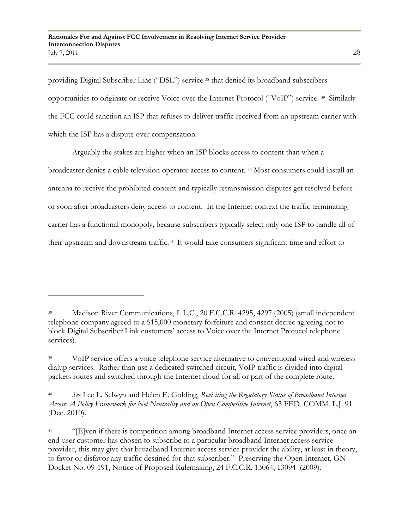providing Digital Subscriber Line ("DSL") service <sup>38</sup> that denied its broadband subscribers opportunities to originate or receive Voice over the Internet Protocol ("VoIP") service. <sup>39</sup> Similarly the FCC could sanction an ISP that refuses to deliver traffic received from an upstream carrier with which the ISP has a dispute over compensation.

Arguably the stakes are higher when an ISP blocks access to content than when a broadcaster denies a cable television operator access to content. <sup>40</sup> Most consumers could install an antenna to receive the prohibited content and typically retransmission disputes get resolved before or soon after broadcasters deny access to content. In the Internet context the traffic terminating carrier has a functional monopoly, because subscribers typically select only one ISP to handle all of their upstream and downstream traffic. <sup>41</sup> It would take consumers significant time and effort to

<sup>38</sup> Madison River Communications, L.L.C., 20 F.C.C.R. 4295, 4297 (2005) (small independent telephone company agreed to a \$15,000 monetary forfeiture and consent decree agreeing not to block Digital Subscriber Link customers" access to Voice over the Internet Protocol telephone services).

<sup>&</sup>lt;sup>39</sup> VoIP service offers a voice telephone service alternative to conventional wired and wireless dialup services. Rather than use a dedicated switched circuit, VoIP traffic is divided into digital packets routes and switched through the Internet cloud for all or part of the complete route.

<sup>40</sup> *See* Lee L. Selwyn and Helen E. Golding, *Revisiting the Regulatory Status of Broadband Internet Access: A Policy Framework for Net Neutrality and an Open Competitive Internet*, 63 FED. COMM. L.J. 91 (Dec. 2010).

<sup>&</sup>lt;sup>41</sup> "[E]ven if there is competition among broadband Internet access service providers, once an end-user customer has chosen to subscribe to a particular broadband Internet access service provider, this may give that broadband Internet access service provider the ability, at least in theory, to favor or disfavor any traffic destined for that subscriber." Preserving the Open Internet, GN Docket No. 09-191, Notice of Proposed Rulemaking, 24 F.C.C.R. 13064, 13094 (2009).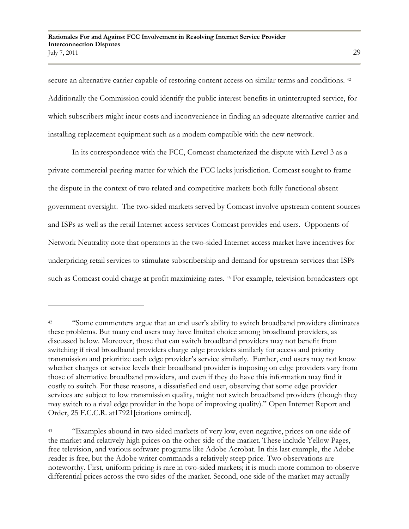secure an alternative carrier capable of restoring content access on similar terms and conditions. <sup>42</sup> Additionally the Commission could identify the public interest benefits in uninterrupted service, for which subscribers might incur costs and inconvenience in finding an adequate alternative carrier and installing replacement equipment such as a modem compatible with the new network.

In its correspondence with the FCC, Comcast characterized the dispute with Level 3 as a private commercial peering matter for which the FCC lacks jurisdiction. Comcast sought to frame the dispute in the context of two related and competitive markets both fully functional absent government oversight. The two-sided markets served by Comcast involve upstream content sources and ISPs as well as the retail Internet access services Comcast provides end users. Opponents of Network Neutrality note that operators in the two-sided Internet access market have incentives for underpricing retail services to stimulate subscribership and demand for upstream services that ISPs such as Comcast could charge at profit maximizing rates. <sup>43</sup> For example, television broadcasters opt

<sup>&</sup>lt;sup>42</sup> "Some commenters argue that an end user's ability to switch broadband providers eliminates these problems. But many end users may have limited choice among broadband providers, as discussed below. Moreover, those that can switch broadband providers may not benefit from switching if rival broadband providers charge edge providers similarly for access and priority transmission and prioritize each edge provider"s service similarly. Further, end users may not know whether charges or service levels their broadband provider is imposing on edge providers vary from those of alternative broadband providers, and even if they do have this information may find it costly to switch. For these reasons, a dissatisfied end user, observing that some edge provider services are subject to low transmission quality, might not switch broadband providers (though they may switch to a rival edge provider in the hope of improving quality)." Open Internet Report and Order, 25 F.C.C.R. at17921[citations omitted].

<sup>43</sup> "Examples abound in two-sided markets of very low, even negative, prices on one side of the market and relatively high prices on the other side of the market. These include Yellow Pages, free television, and various software programs like Adobe Acrobat. In this last example, the Adobe reader is free, but the Adobe writer commands a relatively steep price. Two observations are noteworthy. First, uniform pricing is rare in two-sided markets; it is much more common to observe differential prices across the two sides of the market. Second, one side of the market may actually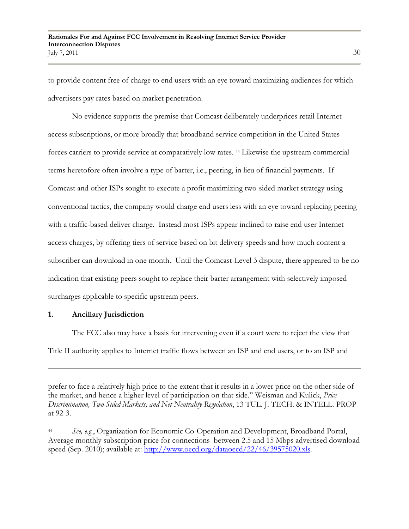to provide content free of charge to end users with an eye toward maximizing audiences for which advertisers pay rates based on market penetration.

No evidence supports the premise that Comcast deliberately underprices retail Internet access subscriptions, or more broadly that broadband service competition in the United States forces carriers to provide service at comparatively low rates. <sup>44</sup> Likewise the upstream commercial terms heretofore often involve a type of barter, i.e., peering, in lieu of financial payments. If Comcast and other ISPs sought to execute a profit maximizing two-sided market strategy using conventional tactics, the company would charge end users less with an eye toward replacing peering with a traffic-based deliver charge. Instead most ISPs appear inclined to raise end user Internet access charges, by offering tiers of service based on bit delivery speeds and how much content a subscriber can download in one month. Until the Comcast-Level 3 dispute, there appeared to be no indication that existing peers sought to replace their barter arrangement with selectively imposed surcharges applicable to specific upstream peers.

### **1. Ancillary Jurisdiction**

 $\overline{a}$ 

The FCC also may have a basis for intervening even if a court were to reject the view that Title II authority applies to Internet traffic flows between an ISP and end users, or to an ISP and

prefer to face a relatively high price to the extent that it results in a lower price on the other side of the market, and hence a higher level of participation on that side." Weisman and Kulick, *Price Discrimination, Two-Sided Markets, and Net Neutrality Regulation*, 13 TUL. J. TECH. & INTELL. PROP at 92-3.

<sup>44</sup> *See, e.g.*, Organization for Economic Co-Operation and Development, Broadband Portal, Average monthly subscription price for connections between 2.5 and 15 Mbps advertised download speed (Sep. 2010); available at: [http://www.oecd.org/dataoecd/22/46/39575020.xls.](http://www.oecd.org/dataoecd/22/46/39575020.xls)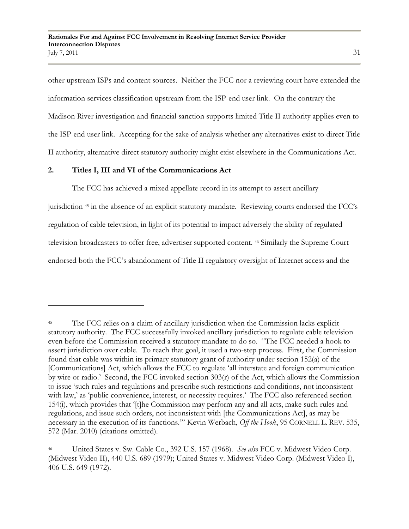other upstream ISPs and content sources. Neither the FCC nor a reviewing court have extended the information services classification upstream from the ISP-end user link. On the contrary the Madison River investigation and financial sanction supports limited Title II authority applies even to the ISP-end user link. Accepting for the sake of analysis whether any alternatives exist to direct Title II authority, alternative direct statutory authority might exist elsewhere in the Communications Act.

### **2. Titles I, III and VI of the Communications Act**

The FCC has achieved a mixed appellate record in its attempt to assert ancillary

jurisdiction <sup>45</sup> in the absence of an explicit statutory mandate. Reviewing courts endorsed the FCC"s regulation of cable television, in light of its potential to impact adversely the ability of regulated television broadcasters to offer free, advertiser supported content. <sup>46</sup> Similarly the Supreme Court endorsed both the FCC"s abandonment of Title II regulatory oversight of Internet access and the

<sup>&</sup>lt;sup>45</sup> The FCC relies on a claim of ancillary jurisdiction when the Commission lacks explicit statutory authority. The FCC successfully invoked ancillary jurisdiction to regulate cable television even before the Commission received a statutory mandate to do so. "The FCC needed a hook to assert jurisdiction over cable. To reach that goal, it used a two-step process. First, the Commission found that cable was within its primary statutory grant of authority under section 152(a) of the [Communications] Act, which allows the FCC to regulate "all interstate and foreign communication by wire or radio.' Second, the FCC invoked section  $303(r)$  of the Act, which allows the Commission to issue "such rules and regulations and prescribe such restrictions and conditions, not inconsistent with law,' as 'public convenience, interest, or necessity requires.' The FCC also referenced section 154(i), which provides that "[t]he Commission may perform any and all acts, make such rules and regulations, and issue such orders, not inconsistent with [the Communications Act], as may be necessary in the execution of its functions."" Kevin Werbach, *Off the Hook*, 95 CORNELL L. REV. 535, 572 (Mar. 2010) (citations omitted).

<sup>46</sup> United States v. Sw. Cable Co., 392 U.S. 157 (1968). *See also* FCC v. Midwest Video Corp. (Midwest Video II), 440 U.S. 689 (1979); United States v. Midwest Video Corp. (Midwest Video I), 406 U.S. 649 (1972).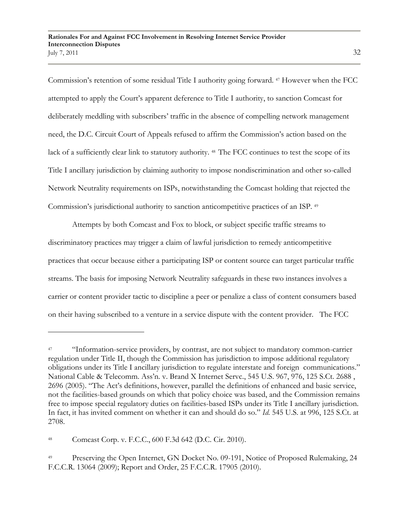Commission"s retention of some residual Title I authority going forward. <sup>47</sup> However when the FCC attempted to apply the Court"s apparent deference to Title I authority, to sanction Comcast for deliberately meddling with subscribers" traffic in the absence of compelling network management need, the D.C. Circuit Court of Appeals refused to affirm the Commission"s action based on the lack of a sufficiently clear link to statutory authority. <sup>48</sup> The FCC continues to test the scope of its Title I ancillary jurisdiction by claiming authority to impose nondiscrimination and other so-called Network Neutrality requirements on ISPs, notwithstanding the Comcast holding that rejected the Commission's jurisdictional authority to sanction anticompetitive practices of an ISP. 49

Attempts by both Comcast and Fox to block, or subject specific traffic streams to discriminatory practices may trigger a claim of lawful jurisdiction to remedy anticompetitive practices that occur because either a participating ISP or content source can target particular traffic streams. The basis for imposing Network Neutrality safeguards in these two instances involves a carrier or content provider tactic to discipline a peer or penalize a class of content consumers based on their having subscribed to a venture in a service dispute with the content provider. The FCC

<sup>48</sup> Comcast Corp. v. F.C.C., 600 F.3d 642 (D.C. Cir. 2010).

<sup>47</sup> "Information-service providers, by contrast, are not subject to mandatory common-carrier regulation under Title II, though the Commission has jurisdiction to impose additional regulatory obligations under its Title I ancillary jurisdiction to regulate interstate and foreign communications." National Cable & Telecomm. Ass'n. v. Brand X Internet Servc., 545 U.S. 967, 976, 125 S.Ct. 2688, 2696 (2005). "The Act"s definitions, however, parallel the definitions of enhanced and basic service, not the facilities-based grounds on which that policy choice was based, and the Commission remains free to impose special regulatory duties on facilities-based ISPs under its Title I ancillary jurisdiction. In fact, it has invited comment on whether it can and should do so." *Id*. 545 U.S. at 996, 125 S.Ct. at 2708.

<sup>&</sup>lt;sup>49</sup> Preserving the Open Internet, GN Docket No. 09-191, Notice of Proposed Rulemaking, 24 F.C.C.R. 13064 (2009); Report and Order, 25 F.C.C.R. 17905 (2010).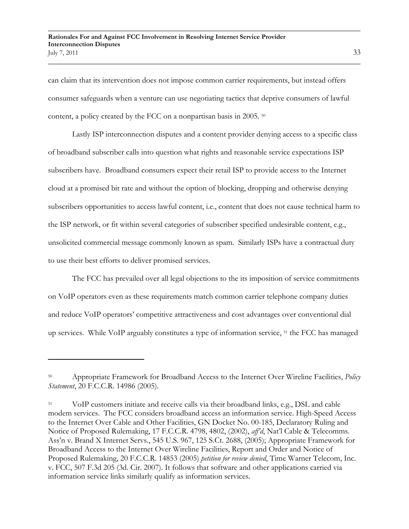can claim that its intervention does not impose common carrier requirements, but instead offers consumer safeguards when a venture can use negotiating tactics that deprive consumers of lawful content, a policy created by the FCC on a nonpartisan basis in 2005. 50

Lastly ISP interconnection disputes and a content provider denying access to a specific class of broadband subscriber calls into question what rights and reasonable service expectations ISP subscribers have. Broadband consumers expect their retail ISP to provide access to the Internet cloud at a promised bit rate and without the option of blocking, dropping and otherwise denying subscribers opportunities to access lawful content, i.e., content that does not cause technical harm to the ISP network, or fit within several categories of subscriber specified undesirable content, e.g., unsolicited commercial message commonly known as spam. Similarly ISPs have a contractual duty to use their best efforts to deliver promised services.

The FCC has prevailed over all legal objections to the its imposition of service commitments on VoIP operators even as these requirements match common carrier telephone company duties and reduce VoIP operators" competitive attractiveness and cost advantages over conventional dial up services. While VoIP arguably constitutes a type of information service, <sup>51</sup> the FCC has managed

<sup>50</sup> Appropriate Framework for Broadband Access to the Internet Over Wireline Facilities, *Policy Statement*, 20 F.C.C.R. 14986 (2005).

<sup>51</sup> VoIP customers initiate and receive calls via their broadband links, e.g., DSL and cable modem services. The FCC considers broadband access an information service. High-Speed Access to the Internet Over Cable and Other Facilities, GN Docket No. 00-185, Declaratory Ruling and Notice of Proposed Rulemaking, 17 F.C.C.R. 4798, 4802, (2002), *aff'd*, Nat"l Cable & Telecomms. Ass"n v. Brand X Internet Servs., 545 U.S. 967, 125 S.Ct. 2688, (2005); Appropriate Framework for Broadband Access to the Internet Over Wireline Facilities, Report and Order and Notice of Proposed Rulemaking, 20 F.C.C.R. 14853 (2005) *petition for review denied*, Time Warner Telecom, Inc. v. FCC, 507 F.3d 205 (3d. Cir. 2007). It follows that software and other applications carried via information service links similarly qualify as information services.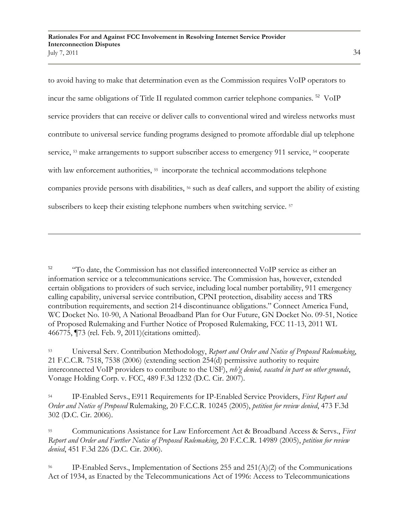to avoid having to make that determination even as the Commission requires VoIP operators to incur the same obligations of Title II regulated common carrier telephone companies.<sup>52</sup> VoIP service providers that can receive or deliver calls to conventional wired and wireless networks must contribute to universal service funding programs designed to promote affordable dial up telephone service, <sup>53</sup> make arrangements to support subscriber access to emergency 911 service, <sup>54</sup> cooperate with law enforcement authorities, <sup>55</sup> incorporate the technical accommodations telephone companies provide persons with disabilities, <sup>56</sup> such as deaf callers, and support the ability of existing subscribers to keep their existing telephone numbers when switching service. <sup>57</sup>

<sup>&</sup>lt;sup>52</sup> "To date, the Commission has not classified interconnected VoIP service as either an information service or a telecommunications service. The Commission has, however, extended certain obligations to providers of such service, including local number portability, 911 emergency calling capability, universal service contribution, CPNI protection, disability access and TRS contribution requirements, and section 214 discontinuance obligations." Connect America Fund, WC Docket No. 10-90, A National Broadband Plan for Our Future, GN Docket No. 09-51, Notice of Proposed Rulemaking and Further Notice of Proposed Rulemaking, FCC 11-13, 2011 WL 466775, ¶73 (rel. Feb. 9, 2011)(citations omitted).

<sup>53</sup> Universal Serv. Contribution Methodology, *Report and Order and Notice of Proposed Rulemaking*, 21 F.C.C.R. 7518, 7538 (2006) (extending section 254(d) permissive authority to require interconnected VoIP providers to contribute to the USF), *reh'g denied, vacated in part on other grounds*, Vonage Holding Corp. v. FCC, 489 F.3d 1232 (D.C. Cir. 2007).

<sup>54</sup> IP-Enabled Servs., E911 Requirements for IP-Enabled Service Providers, *First Report and Order and Notice of Proposed* Rulemaking, 20 F.C.C.R. 10245 (2005), *petition for review denied*, 473 F.3d 302 (D.C. Cir. 2006).

<sup>55</sup> Communications Assistance for Law Enforcement Act & Broadband Access & Servs., *First Report and Order and Further Notice of Proposed Rulemaking*, 20 F.C.C.R. 14989 (2005), *petition for review denied*, 451 F.3d 226 (D.C. Cir. 2006).

<sup>&</sup>lt;sup>56</sup> IP-Enabled Servs., Implementation of Sections 255 and 251(A)(2) of the Communications Act of 1934, as Enacted by the Telecommunications Act of 1996: Access to Telecommunications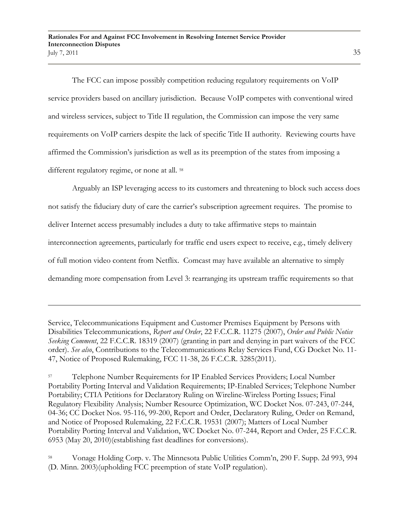The FCC can impose possibly competition reducing regulatory requirements on VoIP service providers based on ancillary jurisdiction. Because VoIP competes with conventional wired and wireless services, subject to Title II regulation, the Commission can impose the very same requirements on VoIP carriers despite the lack of specific Title II authority. Reviewing courts have affirmed the Commission"s jurisdiction as well as its preemption of the states from imposing a different regulatory regime, or none at all. <sup>58</sup>

Arguably an ISP leveraging access to its customers and threatening to block such access does not satisfy the fiduciary duty of care the carrier"s subscription agreement requires. The promise to deliver Internet access presumably includes a duty to take affirmative steps to maintain interconnection agreements, particularly for traffic end users expect to receive, e.g., timely delivery of full motion video content from Netflix. Comcast may have available an alternative to simply demanding more compensation from Level 3: rearranging its upstream traffic requirements so that

Service, Telecommunications Equipment and Customer Premises Equipment by Persons with Disabilities Telecommunications, *Report and Order*, 22 F.C.C.R. 11275 (2007), *Order and Public Notice Seeking Comment*, 22 F.C.C.R. 18319 (2007) (granting in part and denying in part waivers of the FCC order). *See also*, Contributions to the Telecommunications Relay Services Fund, CG Docket No. 11- 47, Notice of Proposed Rulemaking, FCC 11-38, 26 F.C.C.R. 3285(2011).

<sup>57</sup> Telephone Number Requirements for IP Enabled Services Providers; Local Number Portability Porting Interval and Validation Requirements; IP-Enabled Services; Telephone Number Portability; CTIA Petitions for Declaratory Ruling on Wireline-Wireless Porting Issues; Final Regulatory Flexibility Analysis; Number Resource Optimization, WC Docket Nos. 07-243, 07-244, 04-36; CC Docket Nos. 95-116, 99-200, Report and Order, Declaratory Ruling, Order on Remand, and Notice of Proposed Rulemaking, 22 F.C.C.R. 19531 (2007); Matters of Local Number Portability Porting Interval and Validation, WC Docket No. 07-244, Report and Order, 25 F.C.C.R. 6953 (May 20, 2010)(establishing fast deadlines for conversions).

<sup>58</sup> Vonage Holding Corp. v. The Minnesota Public Utilities Comm"n, 290 F. Supp. 2d 993, 994 (D. Minn. 2003)(upholding FCC preemption of state VoIP regulation).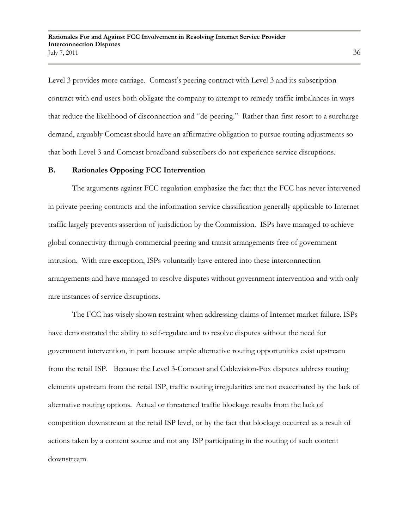Level 3 provides more carriage. Comcast's peering contract with Level 3 and its subscription contract with end users both obligate the company to attempt to remedy traffic imbalances in ways that reduce the likelihood of disconnection and "de-peering." Rather than first resort to a surcharge demand, arguably Comcast should have an affirmative obligation to pursue routing adjustments so that both Level 3 and Comcast broadband subscribers do not experience service disruptions.

#### **B. Rationales Opposing FCC Intervention**

The arguments against FCC regulation emphasize the fact that the FCC has never intervened in private peering contracts and the information service classification generally applicable to Internet traffic largely prevents assertion of jurisdiction by the Commission. ISPs have managed to achieve global connectivity through commercial peering and transit arrangements free of government intrusion. With rare exception, ISPs voluntarily have entered into these interconnection arrangements and have managed to resolve disputes without government intervention and with only rare instances of service disruptions.

The FCC has wisely shown restraint when addressing claims of Internet market failure. ISPs have demonstrated the ability to self-regulate and to resolve disputes without the need for government intervention, in part because ample alternative routing opportunities exist upstream from the retail ISP. Because the Level 3-Comcast and Cablevision-Fox disputes address routing elements upstream from the retail ISP, traffic routing irregularities are not exacerbated by the lack of alternative routing options. Actual or threatened traffic blockage results from the lack of competition downstream at the retail ISP level, or by the fact that blockage occurred as a result of actions taken by a content source and not any ISP participating in the routing of such content downstream.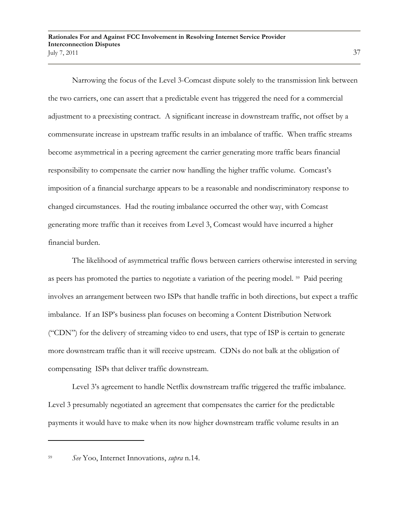Narrowing the focus of the Level 3-Comcast dispute solely to the transmission link between the two carriers, one can assert that a predictable event has triggered the need for a commercial adjustment to a preexisting contract. A significant increase in downstream traffic, not offset by a commensurate increase in upstream traffic results in an imbalance of traffic. When traffic streams become asymmetrical in a peering agreement the carrier generating more traffic bears financial responsibility to compensate the carrier now handling the higher traffic volume. Comcast"s imposition of a financial surcharge appears to be a reasonable and nondiscriminatory response to changed circumstances. Had the routing imbalance occurred the other way, with Comcast generating more traffic than it receives from Level 3, Comcast would have incurred a higher financial burden.

The likelihood of asymmetrical traffic flows between carriers otherwise interested in serving as peers has promoted the parties to negotiate a variation of the peering model. <sup>59</sup> Paid peering involves an arrangement between two ISPs that handle traffic in both directions, but expect a traffic imbalance. If an ISP"s business plan focuses on becoming a Content Distribution Network ("CDN") for the delivery of streaming video to end users, that type of ISP is certain to generate more downstream traffic than it will receive upstream. CDNs do not balk at the obligation of compensating ISPs that deliver traffic downstream.

Level 3's agreement to handle Netflix downstream traffic triggered the traffic imbalance. Level 3 presumably negotiated an agreement that compensates the carrier for the predictable payments it would have to make when its now higher downstream traffic volume results in an

<sup>59</sup> *See* Yoo, Internet Innovations, *supra* n.14.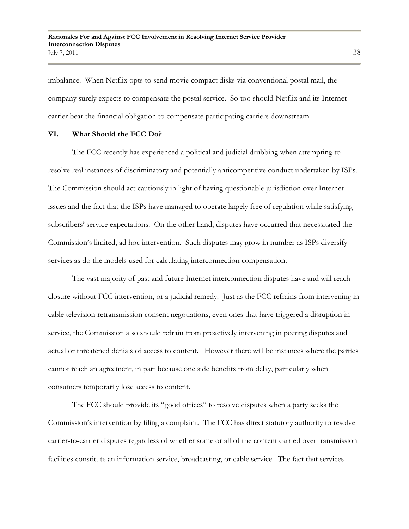imbalance. When Netflix opts to send movie compact disks via conventional postal mail, the company surely expects to compensate the postal service. So too should Netflix and its Internet carrier bear the financial obligation to compensate participating carriers downstream.

#### **VI. What Should the FCC Do?**

The FCC recently has experienced a political and judicial drubbing when attempting to resolve real instances of discriminatory and potentially anticompetitive conduct undertaken by ISPs. The Commission should act cautiously in light of having questionable jurisdiction over Internet issues and the fact that the ISPs have managed to operate largely free of regulation while satisfying subscribers' service expectations. On the other hand, disputes have occurred that necessitated the Commission"s limited, ad hoc intervention. Such disputes may grow in number as ISPs diversify services as do the models used for calculating interconnection compensation.

The vast majority of past and future Internet interconnection disputes have and will reach closure without FCC intervention, or a judicial remedy. Just as the FCC refrains from intervening in cable television retransmission consent negotiations, even ones that have triggered a disruption in service, the Commission also should refrain from proactively intervening in peering disputes and actual or threatened denials of access to content. However there will be instances where the parties cannot reach an agreement, in part because one side benefits from delay, particularly when consumers temporarily lose access to content.

The FCC should provide its "good offices" to resolve disputes when a party seeks the Commission"s intervention by filing a complaint. The FCC has direct statutory authority to resolve carrier-to-carrier disputes regardless of whether some or all of the content carried over transmission facilities constitute an information service, broadcasting, or cable service. The fact that services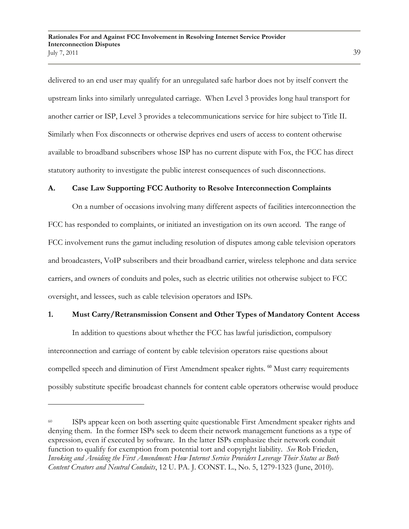delivered to an end user may qualify for an unregulated safe harbor does not by itself convert the upstream links into similarly unregulated carriage. When Level 3 provides long haul transport for another carrier or ISP, Level 3 provides a telecommunications service for hire subject to Title II. Similarly when Fox disconnects or otherwise deprives end users of access to content otherwise available to broadband subscribers whose ISP has no current dispute with Fox, the FCC has direct statutory authority to investigate the public interest consequences of such disconnections.

### **A. Case Law Supporting FCC Authority to Resolve Interconnection Complaints**

On a number of occasions involving many different aspects of facilities interconnection the FCC has responded to complaints, or initiated an investigation on its own accord. The range of FCC involvement runs the gamut including resolution of disputes among cable television operators and broadcasters, VoIP subscribers and their broadband carrier, wireless telephone and data service carriers, and owners of conduits and poles, such as electric utilities not otherwise subject to FCC oversight, and lessees, such as cable television operators and ISPs.

#### **1. Must Carry/Retransmission Consent and Other Types of Mandatory Content Access**

In addition to questions about whether the FCC has lawful jurisdiction, compulsory interconnection and carriage of content by cable television operators raise questions about compelled speech and diminution of First Amendment speaker rights.<sup>60</sup> Must carry requirements possibly substitute specific broadcast channels for content cable operators otherwise would produce

ISPs appear keen on both asserting quite questionable First Amendment speaker rights and denying them. In the former ISPs seek to deem their network management functions as a type of expression, even if executed by software. In the latter ISPs emphasize their network conduit function to qualify for exemption from potential tort and copyright liability. *See* Rob Frieden, *Invoking and Avoiding the First Amendment: How Internet Service Providers Leverage Their Status as Both Content Creators and Neutral Conduits*, 12 U. PA. J. CONST. L., No. 5, 1279-1323 (June, 2010).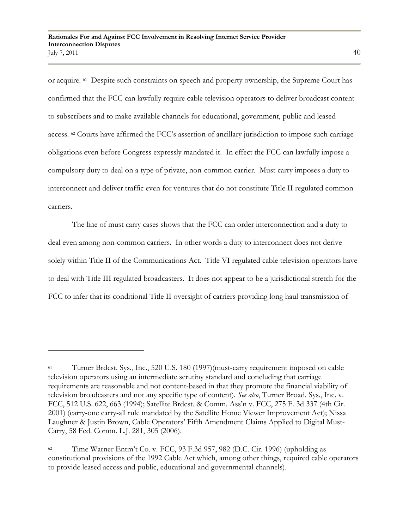or acquire. 61 Despite such constraints on speech and property ownership, the Supreme Court has confirmed that the FCC can lawfully require cable television operators to deliver broadcast content to subscribers and to make available channels for educational, government, public and leased access. <sup>62</sup> Courts have affirmed the FCC's assertion of ancillary jurisdiction to impose such carriage obligations even before Congress expressly mandated it. In effect the FCC can lawfully impose a compulsory duty to deal on a type of private, non-common carrier. Must carry imposes a duty to interconnect and deliver traffic even for ventures that do not constitute Title II regulated common carriers.

The line of must carry cases shows that the FCC can order interconnection and a duty to deal even among non-common carriers. In other words a duty to interconnect does not derive solely within Title II of the Communications Act. Title VI regulated cable television operators have to deal with Title III regulated broadcasters. It does not appear to be a jurisdictional stretch for the FCC to infer that its conditional Title II oversight of carriers providing long haul transmission of

<sup>61</sup> Turner Brdcst. Sys., Inc., 520 U.S. 180 (1997)(must-carry requirement imposed on cable television operators using an intermediate scrutiny standard and concluding that carriage requirements are reasonable and not content-based in that they promote the financial viability of television broadcasters and not any specific type of content). *See also*, Turner Broad. Sys., Inc. v. FCC, 512 U.S. 622, 663 (1994); Satellite Brdcst. & Comm. Ass"n v. FCC, 275 F. 3d 337 (4th Cir. 2001) (carry-one carry-all rule mandated by the Satellite Home Viewer Improvement Act); Nissa Laughner & Justin Brown, Cable Operators' Fifth Amendment Claims Applied to Digital Must-Carry, 58 Fed. Comm. L.J. 281, 305 (2006).

<sup>&</sup>lt;sup>62</sup> Time Warner Entm't Co. v. FCC, 93 F.3d 957, 982 (D.C. Cir. 1996) (upholding as constitutional provisions of the 1992 Cable Act which, among other things, required cable operators to provide leased access and public, educational and governmental channels).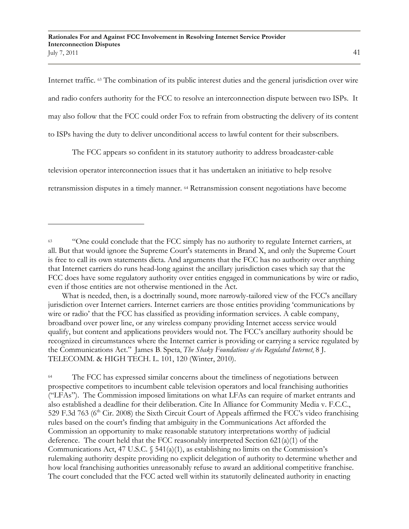Internet traffic. <sup>63</sup> The combination of its public interest duties and the general jurisdiction over wire and radio confers authority for the FCC to resolve an interconnection dispute between two ISPs. It may also follow that the FCC could order Fox to refrain from obstructing the delivery of its content to ISPs having the duty to deliver unconditional access to lawful content for their subscribers.

The FCC appears so confident in its statutory authority to address broadcaster-cable television operator interconnection issues that it has undertaken an initiative to help resolve retransmission disputes in a timely manner. <sup>64</sup> Retransmission consent negotiations have become

 What is needed, then, is a doctrinally sound, more narrowly-tailored view of the FCC's ancillary jurisdiction over Internet carriers. Internet carriers are those entities providing "communications by wire or radio' that the FCC has classified as providing information services. A cable company, broadband over power line, or any wireless company providing Internet access service would qualify, but content and applications providers would not. The FCC"s ancillary authority should be recognized in circumstances where the Internet carrier is providing or carrying a service regulated by the Communications Act." James B. Speta, *The Shaky Foundations of the Regulated Internet*, 8 J. TELECOMM. & HIGH TECH. L. 101, 120 (Winter, 2010).

<sup>64</sup> The FCC has expressed similar concerns about the timeliness of negotiations between prospective competitors to incumbent cable television operators and local franchising authorities ("LFAs"). The Commission imposed limitations on what LFAs can require of market entrants and also established a deadline for their deliberation. Cite In Alliance for Community Media v. F.C.C., 529 F.3d 763 ( $6<sup>th</sup>$  Cir. 2008) the Sixth Circuit Court of Appeals affirmed the FCC's video franchising rules based on the court's finding that ambiguity in the Communications Act afforded the Commission an opportunity to make reasonable statutory interpretations worthy of judicial deference. The court held that the FCC reasonably interpreted Section 621(a)(1) of the Communications Act, 47 U.S.C.  $\S$  541(a)(1), as establishing no limits on the Commission's rulemaking authority despite providing no explicit delegation of authority to determine whether and how local franchising authorities unreasonably refuse to award an additional competitive franchise. The court concluded that the FCC acted well within its statutorily delineated authority in enacting

<sup>&</sup>lt;sup>63</sup> "One could conclude that the FCC simply has no authority to regulate Internet carriers, at all. But that would ignore the Supreme Court's statements in Brand X, and only the Supreme Court is free to call its own statements dicta. And arguments that the FCC has no authority over anything that Internet carriers do runs head-long against the ancillary jurisdiction cases which say that the FCC does have some regulatory authority over entities engaged in communications by wire or radio, even if those entities are not otherwise mentioned in the Act.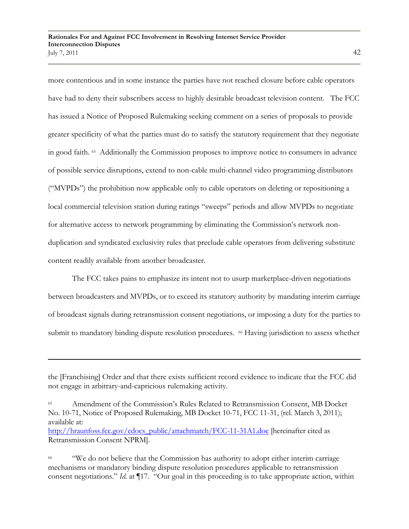more contentious and in some instance the parties have not reached closure before cable operators have had to deny their subscribers access to highly desirable broadcast television content. The FCC has issued a Notice of Proposed Rulemaking seeking comment on a series of proposals to provide greater specificity of what the parties must do to satisfy the statutory requirement that they negotiate in good faith. <sup>65</sup> Additionally the Commission proposes to improve notice to consumers in advance of possible service disruptions, extend to non-cable multi-channel video programming distributors ("MVPDs") the prohibition now applicable only to cable operators on deleting or repositioning a local commercial television station during ratings "sweeps" periods and allow MVPDs to negotiate for alternative access to network programming by eliminating the Commission's network nonduplication and syndicated exclusivity rules that preclude cable operators from delivering substitute content readily available from another broadcaster.

The FCC takes pains to emphasize its intent not to usurp marketplace-driven negotiations between broadcasters and MVPDs, or to exceed its statutory authority by mandating interim carriage of broadcast signals during retransmission consent negotiations, or imposing a duty for the parties to submit to mandatory binding dispute resolution procedures. <sup>66</sup> Having jurisdiction to assess whether

Retransmission Consent NPRM].

the [Franchising] Order and that there exists sufficient record evidence to indicate that the FCC did not engage in arbitrary-and-capricious rulemaking activity.

<sup>65</sup> Amendment of the Commission"s Rules Related to Retransmission Consent, MB Docket No. 10-71, Notice of Proposed Rulemaking, MB Docket 10-71, FCC 11-31, (rel. March 3, 2011); available at: [http://hraunfoss.fcc.gov/edocs\\_public/attachmatch/FCC-11-31A1.doc](http://hraunfoss.fcc.gov/edocs_public/attachmatch/FCC-11-31A1.doc%5bhereinafter) [hereinafter cited as

<sup>&</sup>lt;sup>66</sup> "We do not believe that the Commission has authority to adopt either interim carriage mechanisms or mandatory binding dispute resolution procedures applicable to retransmission consent negotiations." *Id*. at ¶17. "Our goal in this proceeding is to take appropriate action, within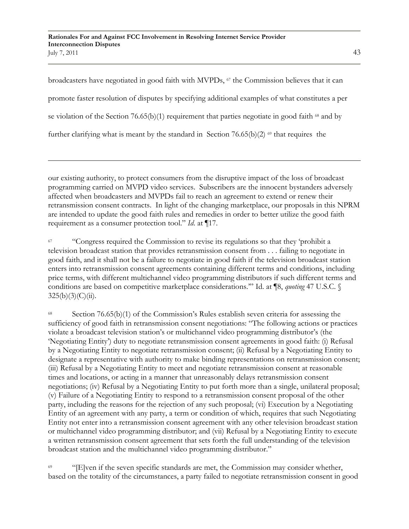broadcasters have negotiated in good faith with MVPDs, <sup>67</sup> the Commission believes that it can promote faster resolution of disputes by specifying additional examples of what constitutes a per se violation of the Section 76.65(b)(1) requirement that parties negotiate in good faith  $68$  and by further clarifying what is meant by the standard in Section 76.65(b)(2)  $\omega$  that requires the

our existing authority, to protect consumers from the disruptive impact of the loss of broadcast programming carried on MVPD video services. Subscribers are the innocent bystanders adversely affected when broadcasters and MVPDs fail to reach an agreement to extend or renew their retransmission consent contracts. In light of the changing marketplace, our proposals in this NPRM are intended to update the good faith rules and remedies in order to better utilize the good faith requirement as a consumer protection tool." *Id*. at ¶17.

<sup>67</sup> "Congress required the Commission to revise its regulations so that they 'prohibit a television broadcast station that provides retransmission consent from . . . failing to negotiate in good faith, and it shall not be a failure to negotiate in good faith if the television broadcast station enters into retransmission consent agreements containing different terms and conditions, including price terms, with different multichannel video programming distributors if such different terms and conditions are based on competitive marketplace considerations."" Id. at ¶8, *quoting* 47 U.S.C. §  $325(b)(3)(C)(ii)$ .

<sup>68</sup> Section 76.65(b)(1) of the Commission's Rules establish seven criteria for assessing the sufficiency of good faith in retransmission consent negotiations: "The following actions or practices violate a broadcast television station"s or multichannel video programming distributor"s (the "Negotiating Entity") duty to negotiate retransmission consent agreements in good faith: (i) Refusal by a Negotiating Entity to negotiate retransmission consent; (ii) Refusal by a Negotiating Entity to designate a representative with authority to make binding representations on retransmission consent; (iii) Refusal by a Negotiating Entity to meet and negotiate retransmission consent at reasonable times and locations, or acting in a manner that unreasonably delays retransmission consent negotiations; (iv) Refusal by a Negotiating Entity to put forth more than a single, unilateral proposal; (v) Failure of a Negotiating Entity to respond to a retransmission consent proposal of the other party, including the reasons for the rejection of any such proposal; (vi) Execution by a Negotiating Entity of an agreement with any party, a term or condition of which, requires that such Negotiating Entity not enter into a retransmission consent agreement with any other television broadcast station or multichannel video programming distributor; and (vii) Refusal by a Negotiating Entity to execute a written retransmission consent agreement that sets forth the full understanding of the television broadcast station and the multichannel video programming distributor."

<sup>69</sup> "[E]ven if the seven specific standards are met, the Commission may consider whether, based on the totality of the circumstances, a party failed to negotiate retransmission consent in good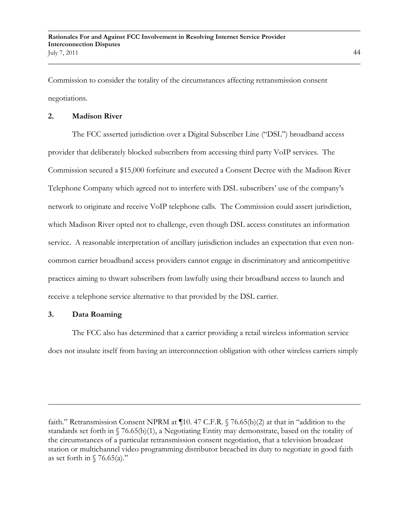Commission to consider the totality of the circumstances affecting retransmission consent negotiations.

## **2. Madison River**

The FCC asserted jurisdiction over a Digital Subscriber Line ("DSL") broadband access provider that deliberately blocked subscribers from accessing third party VoIP services. The Commission secured a \$15,000 forfeiture and executed a Consent Decree with the Madison River Telephone Company which agreed not to interfere with DSL subscribers" use of the company"s network to originate and receive VoIP telephone calls. The Commission could assert jurisdiction, which Madison River opted not to challenge, even though DSL access constitutes an information service. A reasonable interpretation of ancillary jurisdiction includes an expectation that even noncommon carrier broadband access providers cannot engage in discriminatory and anticompetitive practices aiming to thwart subscribers from lawfully using their broadband access to launch and receive a telephone service alternative to that provided by the DSL carrier.

### **3. Data Roaming**

 $\overline{a}$ 

The FCC also has determined that a carrier providing a retail wireless information service does not insulate itself from having an interconnection obligation with other wireless carriers simply

faith." Retransmission Consent NPRM at ¶10. 47 C.F.R. § 76.65(b)(2) at that in "addition to the standards set forth in § 76.65(b)(1), a Negotiating Entity may demonstrate, based on the totality of the circumstances of a particular retransmission consent negotiation, that a television broadcast station or multichannel video programming distributor breached its duty to negotiate in good faith as set forth in  $\sqrt{76.65(a)}$ ."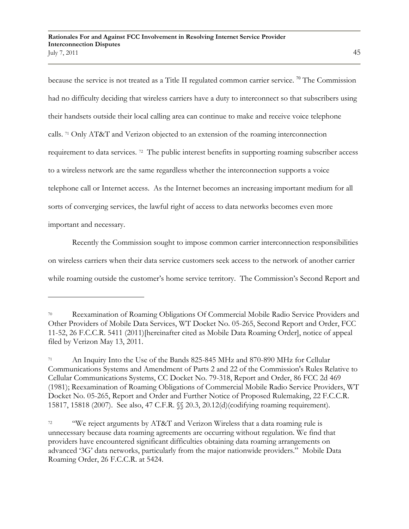because the service is not treated as a Title II regulated common carrier service. <sup>70</sup> The Commission had no difficulty deciding that wireless carriers have a duty to interconnect so that subscribers using their handsets outside their local calling area can continue to make and receive voice telephone calls. <sup>71</sup> Only AT&T and Verizon objected to an extension of the roaming interconnection requirement to data services. <sup>72</sup> The public interest benefits in supporting roaming subscriber access to a wireless network are the same regardless whether the interconnection supports a voice telephone call or Internet access. As the Internet becomes an increasing important medium for all sorts of converging services, the lawful right of access to data networks becomes even more important and necessary.

Recently the Commission sought to impose common carrier interconnection responsibilities on wireless carriers when their data service customers seek access to the network of another carrier while roaming outside the customer's home service territory. The Commission's Second Report and

<sup>70</sup> Reexamination of Roaming Obligations Of Commercial Mobile Radio Service Providers and Other Providers of Mobile Data Services, WT Docket No. 05-265, Second Report and Order, FCC 11-52, 26 F.C.C.R. 5411 (2011)[hereinafter cited as Mobile Data Roaming Order], notice of appeal filed by Verizon May 13, 2011.

<sup>71</sup> An Inquiry Into the Use of the Bands 825-845 MHz and 870-890 MHz for Cellular Communications Systems and Amendment of Parts 2 and 22 of the Commission's Rules Relative to Cellular Communications Systems, CC Docket No. 79-318, Report and Order, 86 FCC 2d 469 (1981); Reexamination of Roaming Obligations of Commercial Mobile Radio Service Providers, WT Docket No. 05-265, Report and Order and Further Notice of Proposed Rulemaking, 22 F.C.C.R. 15817, 15818 (2007). See also, 47 C.F.R. §§ 20.3, 20.12(d)(codifying roaming requirement).

<sup>72</sup> "We reject arguments by AT&T and Verizon Wireless that a data roaming rule is unnecessary because data roaming agreements are occurring without regulation. We find that providers have encountered significant difficulties obtaining data roaming arrangements on advanced "3G" data networks, particularly from the major nationwide providers." Mobile Data Roaming Order, 26 F.C.C.R. at 5424.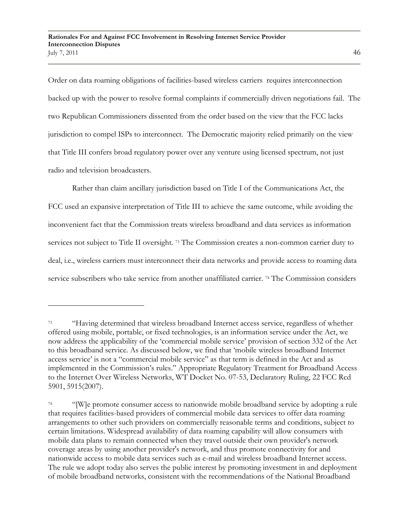Order on data roaming obligations of facilities-based wireless carriers requires interconnection backed up with the power to resolve formal complaints if commercially driven negotiations fail. The two Republican Commissioners dissented from the order based on the view that the FCC lacks jurisdiction to compel ISPs to interconnect. The Democratic majority relied primarily on the view that Title III confers broad regulatory power over any venture using licensed spectrum, not just radio and television broadcasters.

Rather than claim ancillary jurisdiction based on Title I of the Communications Act, the FCC used an expansive interpretation of Title III to achieve the same outcome, while avoiding the inconvenient fact that the Commission treats wireless broadband and data services as information services not subject to Title II oversight. <sup>73</sup> The Commission creates a non-common carrier duty to deal, i.e., wireless carriers must interconnect their data networks and provide access to roaming data service subscribers who take service from another unaffiliated carrier.<sup>74</sup> The Commission considers

<sup>&</sup>lt;sup>73</sup> "Having determined that wireless broadband Internet access service, regardless of whether offered using mobile, portable, or fixed technologies, is an information service under the Act, we now address the applicability of the "commercial mobile service" provision of section 332 of the Act to this broadband service. As discussed below, we find that "mobile wireless broadband Internet access service" is not a "commercial mobile service" as that term is defined in the Act and as implemented in the Commission"s rules." Appropriate Regulatory Treatment for Broadband Access to the Internet Over Wireless Networks, WT Docket No. 07-53, Declaratory Ruling, 22 FCC Rcd 5901, 5915(2007).

<sup>&</sup>lt;sup>74</sup> "[W]e promote consumer access to nationwide mobile broadband service by adopting a rule that requires facilities-based providers of commercial mobile data services to offer data roaming arrangements to other such providers on commercially reasonable terms and conditions, subject to certain limitations. Widespread availability of data roaming capability will allow consumers with mobile data plans to remain connected when they travel outside their own provider's network coverage areas by using another provider's network, and thus promote connectivity for and nationwide access to mobile data services such as e-mail and wireless broadband Internet access. The rule we adopt today also serves the public interest by promoting investment in and deployment of mobile broadband networks, consistent with the recommendations of the National Broadband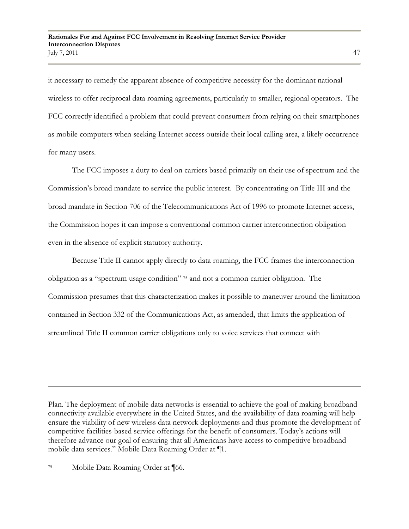it necessary to remedy the apparent absence of competitive necessity for the dominant national wireless to offer reciprocal data roaming agreements, particularly to smaller, regional operators. The FCC correctly identified a problem that could prevent consumers from relying on their smartphones as mobile computers when seeking Internet access outside their local calling area, a likely occurrence for many users.

The FCC imposes a duty to deal on carriers based primarily on their use of spectrum and the Commission"s broad mandate to service the public interest. By concentrating on Title III and the broad mandate in Section 706 of the Telecommunications Act of 1996 to promote Internet access, the Commission hopes it can impose a conventional common carrier interconnection obligation even in the absence of explicit statutory authority.

Because Title II cannot apply directly to data roaming, the FCC frames the interconnection obligation as a "spectrum usage condition" <sup>75</sup> and not a common carrier obligation. The Commission presumes that this characterization makes it possible to maneuver around the limitation contained in Section 332 of the Communications Act, as amended, that limits the application of streamlined Title II common carrier obligations only to voice services that connect with

Plan. The deployment of mobile data networks is essential to achieve the goal of making broadband connectivity available everywhere in the United States, and the availability of data roaming will help ensure the viability of new wireless data network deployments and thus promote the development of competitive facilities-based service offerings for the benefit of consumers. Today"s actions will therefore advance our goal of ensuring that all Americans have access to competitive broadband mobile data services." Mobile Data Roaming Order at ¶1.

<sup>75</sup> Mobile Data Roaming Order at ¶66.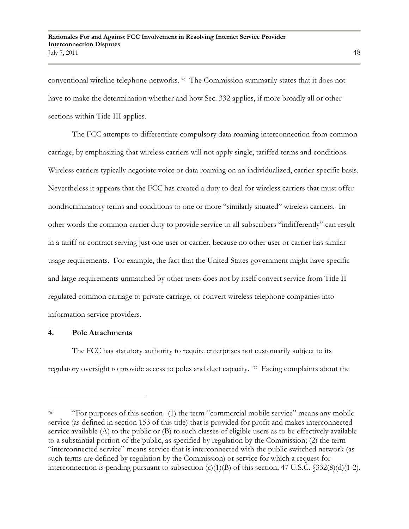conventional wireline telephone networks. <sup>76</sup> The Commission summarily states that it does not have to make the determination whether and how Sec. 332 applies, if more broadly all or other sections within Title III applies.

The FCC attempts to differentiate compulsory data roaming interconnection from common carriage, by emphasizing that wireless carriers will not apply single, tariffed terms and conditions. Wireless carriers typically negotiate voice or data roaming on an individualized, carrier-specific basis. Nevertheless it appears that the FCC has created a duty to deal for wireless carriers that must offer nondiscriminatory terms and conditions to one or more "similarly situated" wireless carriers. In other words the common carrier duty to provide service to all subscribers "indifferently" can result in a tariff or contract serving just one user or carrier, because no other user or carrier has similar usage requirements. For example, the fact that the United States government might have specific and large requirements unmatched by other users does not by itself convert service from Title II regulated common carriage to private carriage, or convert wireless telephone companies into information service providers.

### **4. Pole Attachments**

 $\overline{a}$ 

The FCC has statutory authority to require enterprises not customarily subject to its regulatory oversight to provide access to poles and duct capacity.  $\pi$  Facing complaints about the

<sup>76</sup> "For purposes of this section--(1) the term "commercial mobile service" means any mobile service (as defined in section 153 of this title) that is provided for profit and makes interconnected service available (A) to the public or (B) to such classes of eligible users as to be effectively available to a substantial portion of the public, as specified by regulation by the Commission; (2) the term "interconnected service" means service that is interconnected with the public switched network (as such terms are defined by regulation by the Commission) or service for which a request for interconnection is pending pursuant to subsection  $(c)(1)(B)$  of this section; 47 U.S.C.  $$332(8)(d)(1-2)$ .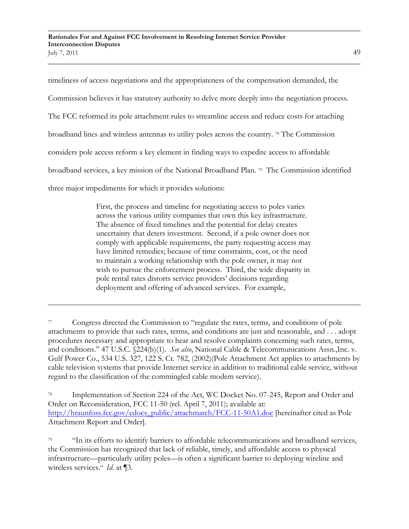timeliness of access negotiations and the appropriateness of the compensation demanded, the Commission believes it has statutory authority to delve more deeply into the negotiation process. The FCC reformed its pole attachment rules to streamline access and reduce costs for attaching broadband lines and wireless antennas to utility poles across the country. <sup>78</sup> The Commission considers pole access reform a key element in finding ways to expedite access to affordable broadband services, a key mission of the National Broadband Plan. <sup>79</sup> The Commission identified three major impediments for which it provides solutions:

> First, the process and timeline for negotiating access to poles varies across the various utility companies that own this key infrastructure. The absence of fixed timelines and the potential for delay creates uncertainty that deters investment. Second, if a pole owner does not comply with applicable requirements, the party requesting access may have limited remedies; because of time constraints, cost, or the need to maintain a working relationship with the pole owner, it may not wish to pursue the enforcement process. Third, the wide disparity in pole rental rates distorts service providers" decisions regarding deployment and offering of advanced services. For example,

<sup>78</sup> Implementation of Section 224 of the Act, WC Docket No. 07-245, Report and Order and Order on Reconsideration, FCC 11-50 (rel. April 7, 2011); available at: [http://hraunfoss.fcc.gov/edocs\\_public/attachmatch/FCC-11-50A1.doc](http://hraunfoss.fcc.gov/edocs_public/attachmatch/FCC-11-50A1.doc) [hereinafter cited as Pole Attachment Report and Order].

<sup>79</sup> "In its efforts to identify barriers to affordable telecommunications and broadband services, the Commission has recognized that lack of reliable, timely, and affordable access to physical infrastructure—particularly utility poles—is often a significant barrier to deploying wireline and wireless services." *Id*. at ¶3.

<sup>77</sup> Congress directed the Commission to "regulate the rates, terms, and conditions of pole attachments to provide that such rates, terms, and conditions are just and reasonable, and . . . adopt procedures necessary and appropriate to hear and resolve complaints concerning such rates, terms, and conditions." 47 U.S.C. §224(b)(1). *See also*, National Cable & Telecommunications Assn.,Inc. v. Gulf Power Co., 534 U.S. 327, 122 S. Ct. 782, (2002)(Pole Attachment Act applies to attachments by cable television systems that provide Internet service in addition to traditional cable service, without regard to the classification of the commingled cable modem service).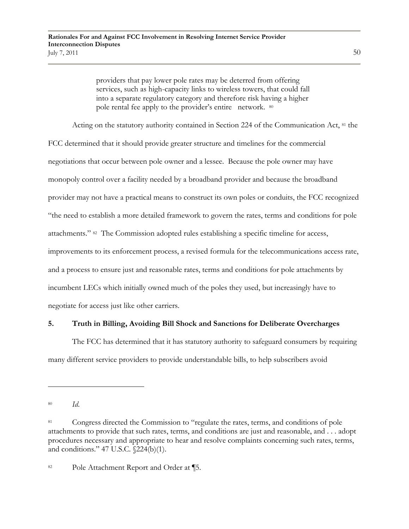providers that pay lower pole rates may be deterred from offering services, such as high-capacity links to wireless towers, that could fall into a separate regulatory category and therefore risk having a higher pole rental fee apply to the provider's entire network. <sup>80</sup>

Acting on the statutory authority contained in Section 224 of the Communication Act, <sup>81</sup> the FCC determined that it should provide greater structure and timelines for the commercial negotiations that occur between pole owner and a lessee. Because the pole owner may have monopoly control over a facility needed by a broadband provider and because the broadband provider may not have a practical means to construct its own poles or conduits, the FCC recognized "the need to establish a more detailed framework to govern the rates, terms and conditions for pole attachments." <sup>82</sup> The Commission adopted rules establishing a specific timeline for access, improvements to its enforcement process, a revised formula for the telecommunications access rate, and a process to ensure just and reasonable rates, terms and conditions for pole attachments by incumbent LECs which initially owned much of the poles they used, but increasingly have to negotiate for access just like other carriers.

# **5. Truth in Billing, Avoiding Bill Shock and Sanctions for Deliberate Overcharges**

The FCC has determined that it has statutory authority to safeguard consumers by requiring many different service providers to provide understandable bills, to help subscribers avoid

<sup>80</sup> *Id*.

<sup>&</sup>lt;sup>81</sup> Congress directed the Commission to "regulate the rates, terms, and conditions of pole attachments to provide that such rates, terms, and conditions are just and reasonable, and . . . adopt procedures necessary and appropriate to hear and resolve complaints concerning such rates, terms, and conditions." 47 U.S.C. §224(b)(1).

<sup>82</sup> Pole Attachment Report and Order at ¶5.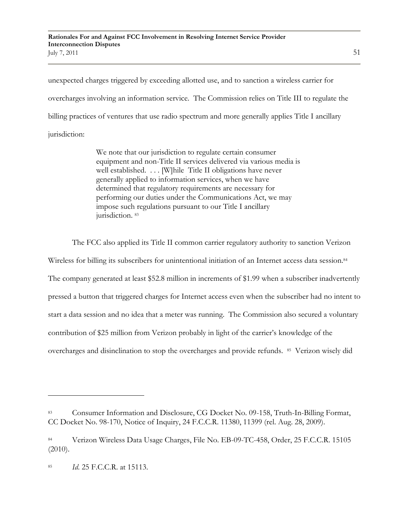unexpected charges triggered by exceeding allotted use, and to sanction a wireless carrier for overcharges involving an information service. The Commission relies on Title III to regulate the billing practices of ventures that use radio spectrum and more generally applies Title I ancillary jurisdiction:

> We note that our jurisdiction to regulate certain consumer equipment and non-Title II services delivered via various media is well established. . . . [W]hile Title II obligations have never generally applied to information services, when we have determined that regulatory requirements are necessary for performing our duties under the Communications Act, we may impose such regulations pursuant to our Title I ancillary jurisdiction. 83

The FCC also applied its Title II common carrier regulatory authority to sanction Verizon

Wireless for billing its subscribers for unintentional initiation of an Internet access data session.<sup>84</sup> The company generated at least \$52.8 million in increments of \$1.99 when a subscriber inadvertently pressed a button that triggered charges for Internet access even when the subscriber had no intent to start a data session and no idea that a meter was running. The Commission also secured a voluntary contribution of \$25 million from Verizon probably in light of the carrier"s knowledge of the overcharges and disinclination to stop the overcharges and provide refunds. 85 Verizon wisely did

<sup>83</sup> Consumer Information and Disclosure, CG Docket No. 09-158, Truth-In-Billing Format, CC Docket No. 98-170, Notice of Inquiry, 24 F.C.C.R. 11380, 11399 (rel. Aug. 28, 2009).

<sup>84</sup> Verizon Wireless Data Usage Charges, File No. EB-09-TC-458, Order, 25 F.C.C.R. 15105 (2010).

<sup>85</sup> *Id*. 25 F.C.C.R. at 15113.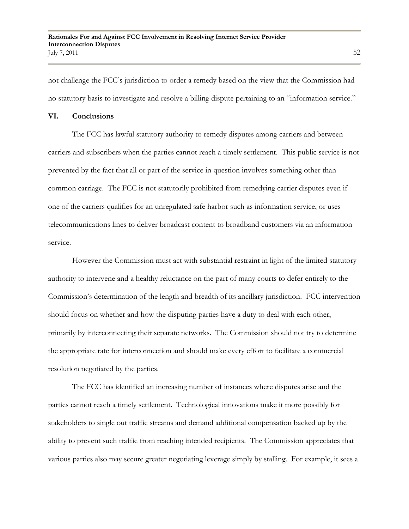not challenge the FCC"s jurisdiction to order a remedy based on the view that the Commission had no statutory basis to investigate and resolve a billing dispute pertaining to an "information service."

#### **VI. Conclusions**

The FCC has lawful statutory authority to remedy disputes among carriers and between carriers and subscribers when the parties cannot reach a timely settlement. This public service is not prevented by the fact that all or part of the service in question involves something other than common carriage. The FCC is not statutorily prohibited from remedying carrier disputes even if one of the carriers qualifies for an unregulated safe harbor such as information service, or uses telecommunications lines to deliver broadcast content to broadband customers via an information service.

However the Commission must act with substantial restraint in light of the limited statutory authority to intervene and a healthy reluctance on the part of many courts to defer entirely to the Commission"s determination of the length and breadth of its ancillary jurisdiction. FCC intervention should focus on whether and how the disputing parties have a duty to deal with each other, primarily by interconnecting their separate networks. The Commission should not try to determine the appropriate rate for interconnection and should make every effort to facilitate a commercial resolution negotiated by the parties.

The FCC has identified an increasing number of instances where disputes arise and the parties cannot reach a timely settlement. Technological innovations make it more possibly for stakeholders to single out traffic streams and demand additional compensation backed up by the ability to prevent such traffic from reaching intended recipients. The Commission appreciates that various parties also may secure greater negotiating leverage simply by stalling. For example, it sees a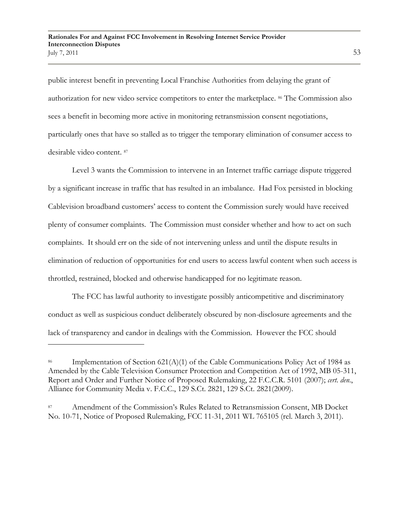public interest benefit in preventing Local Franchise Authorities from delaying the grant of authorization for new video service competitors to enter the marketplace. <sup>86</sup> The Commission also sees a benefit in becoming more active in monitoring retransmission consent negotiations, particularly ones that have so stalled as to trigger the temporary elimination of consumer access to desirable video content. <sup>87</sup>

Level 3 wants the Commission to intervene in an Internet traffic carriage dispute triggered by a significant increase in traffic that has resulted in an imbalance. Had Fox persisted in blocking Cablevision broadband customers" access to content the Commission surely would have received plenty of consumer complaints. The Commission must consider whether and how to act on such complaints. It should err on the side of not intervening unless and until the dispute results in elimination of reduction of opportunities for end users to access lawful content when such access is throttled, restrained, blocked and otherwise handicapped for no legitimate reason.

The FCC has lawful authority to investigate possibly anticompetitive and discriminatory conduct as well as suspicious conduct deliberately obscured by non-disclosure agreements and the lack of transparency and candor in dealings with the Commission. However the FCC should

Implementation of Section  $621(A)(1)$  of the Cable Communications Policy Act of 1984 as Amended by the Cable Television Consumer Protection and Competition Act of 1992, MB 05-311, Report and Order and Further Notice of Proposed Rulemaking, 22 F.C.C.R. 5101 (2007); *cert. den*., Alliance for Community Media v. F.C.C., 129 S.Ct. 2821, 129 S.Ct. 2821(2009).

Amendment of the Commission's Rules Related to Retransmission Consent, MB Docket No. 10-71, Notice of Proposed Rulemaking, FCC 11-31, 2011 WL 765105 (rel. March 3, 2011).